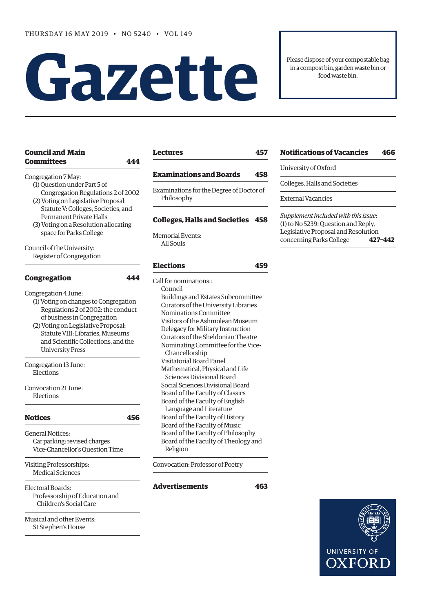# **Gazet te**

Please dispose of your compostable bag in a compost bin, garden waste bin or food waste bin.

| Congregation 7 May:<br>(1) Question under Part 5 of<br>Congregation Regulations 2 of 2002<br>(2) Voting on Legislative Proposal:<br>Statute V: Colleges, Societies, and<br><b>Permanent Private Halls</b> |  |  |                                       |
|-----------------------------------------------------------------------------------------------------------------------------------------------------------------------------------------------------------|--|--|---------------------------------------|
|                                                                                                                                                                                                           |  |  | (3) Voting on a Resolution allocating |
|                                                                                                                                                                                                           |  |  | space for Parks College               |
|                                                                                                                                                                                                           |  |  | Council of the University:            |
|                                                                                                                                                                                                           |  |  | Register of Congregation              |
|                                                                                                                                                                                                           |  |  |                                       |
| <b>Congregation</b><br>444                                                                                                                                                                                |  |  |                                       |
| Congregation 4 June:                                                                                                                                                                                      |  |  |                                       |
| (1) Voting on changes to Congregation                                                                                                                                                                     |  |  |                                       |
| Regulations 2 of 2002: the conduct                                                                                                                                                                        |  |  |                                       |
| of business in Congregation                                                                                                                                                                               |  |  |                                       |
| (2) Voting on Legislative Proposal:                                                                                                                                                                       |  |  |                                       |
| Statute VIII: Libraries, Museums                                                                                                                                                                          |  |  |                                       |
| and Scientific Collections, and the                                                                                                                                                                       |  |  |                                       |
| <b>University Press</b>                                                                                                                                                                                   |  |  |                                       |
|                                                                                                                                                                                                           |  |  |                                       |
|                                                                                                                                                                                                           |  |  |                                       |
| Congregation 13 June:<br>Elections                                                                                                                                                                        |  |  |                                       |
| Convocation 21 June:                                                                                                                                                                                      |  |  |                                       |

**[Council and Main](#page-1-0)** 

**[Committees 444](#page-1-0)**

| <b>Notices</b>                                                                      |  |
|-------------------------------------------------------------------------------------|--|
| General Notices:<br>Car parking: revised charges<br>Vice-Chancellor's Question Time |  |
| Visiting Professorships:<br>Medical Sciences                                        |  |
| Electoral Boards:<br>Professorship of Education and<br>Children's Social Care       |  |

[Musical and other Events:](#page-14-0) [St Stephen's House](#page-14-0) 

# **[Lectures 457](#page-14-0)**

# **[Examinations and Boards 458](#page-15-0)**

[Examinations for the Degree of Doctor of](#page-15-0)  [Philosophy](#page-15-0)

# **[Colleges, Halls and Societies 458](#page-15-0)**

[Memorial Events](#page-15-0): [All Souls](#page-15-0) 

# **[Elections 459](#page-16-0)**

Call for nominations:: Council Buildings and Estates Subcommittee Curators of the University Libraries Nominations Committee Visitors of the Ashmolean Museum Delegacy for Military Instruction Curators of the Sheldonian Theatre Nominating Committee for the Vice- Chancellorship Visitatorial Board Panel Mathematical, Physical and Life Sciences Divisional Board Social Sciences Divisional Board Board of the Faculty of Classics Board of the Faculty of English Language and Literature Board of the Faculty of History Board of the Faculty of Music Board of the Faculty of Philosophy Board of the Faculty of Theology and Religion

Convocation: Professor of Poetry

**[Advertisements](#page-21-0) [463](#page-20-0)**

# **[Notifications of Vacancies 466](#page-23-0)**

University of Oxford

[Colleges, Halls and Societies](#page-23-0)

[External Vacancies](#page-23-0)

*Supplement included with this issue*: (1) to No 5239: Question and Reply, Legislative Proposal and Resolution concerning Parks College **427–442**

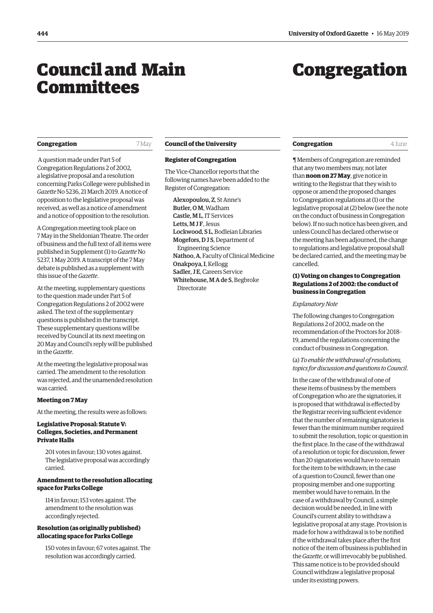# <span id="page-1-0"></span>Council and Main **Committees**

# Congregation

# **Congregation** 7 May

 A question made under Part 5 of Congregation Regulations 2 of 2002, a legislative proposal and a resolution concerning Parks College were published in *Gazette* No 5236, 21 March 2019. A notice of opposition to the legislative proposal was received, as well as a notice of amendment and a notice of opposition to the resolution.

A Congregation meeting took place on 7 May in the Sheldonian Theatre. The order of business and the full text of all items were published in Supplement (1) to *Gazette* No 5237, 1 May 2019. A transcript of the 7 May debate is published as a supplement with this issue of the *Gazette*.

At the meeting, supplementary questions to the question made under Part 5 of Congregation Regulations 2 of 2002 were asked. The text of the supplementary questions is published in the transcript. These supplementary questions will be received by Council at its next meeting on 20 May and Council's reply will be published in the *Gazette*.

At the meeting the legislative proposal was carried. The amendment to the resolution was rejected, and the unamended resolution was carried.

#### **Meeting on 7 May**

At the meeting, the results were as follows:

# **Legislative Proposal: Statute V: Colleges, Societies, and Permanent Private Halls**

201 votes in favour; 130 votes against. The legislative proposal was accordingly carried.

# **Amendment to the resolution allocating space for Parks College**

114 in favour; 153 votes against. The amendment to the resolution was accordingly rejected.

# **Resolution (as originally published) allocating space for Parks College**

150 votes in favour; 67 votes against. The resolution was accordingly carried.

#### **Council of the University**

#### **Register of Congregation**

The Vice-Chancellor reports that the following names have been added to the Register of Congregation:

Alexopoulou, Z, St Anne's Butler, O M, Wadham Castle, M L, IT Services Letts, M J F, Jesus Lockwood, S L, Bodleian Libraries Mogefors, D J S, Department of Engineering Science Nathoo, A, Faculty of Clinical Medicine Onakpoya, I, Kellogg Sadler, J.E. Careers Service Whitehouse, M A de S, Begbroke **Directorate** 

#### **Congregation** 4 June

¶ Members of Congregation are reminded that any two members may, not later than **noon on 27 May**, give notice in writing to the Registrar that they wish to oppose or amend the proposed changes to Congregation regulations at (1) or the legislative proposal at (2) below (see the note on the conduct of business in Congregation below). If no such notice has been given, and unless Council has declared otherwise or the meeting has been adjourned, the change to regulations and legislative proposal shall be declared carried, and the meeting may be cancelled.

# **(1) Voting on changes to Congregation Regulations 2 of 2002: the conduct of business in Congregation**

#### *Explanatory Note*

The following changes to Congregation Regulations 2 of 2002, made on the recommendation of the Proctors for 2018– 19, amend the regulations concerning the conduct of business in Congregation.

# (a) *To enable the withdrawal of resolutions, topics for discussion and questions to Council*.

In the case of the withdrawal of one of these items of business by the members of Congregation who are the signatories, it is proposed that withdrawal is effected by the Registrar receiving sufficient evidence that the number of remaining signatories is fewer than the minimum number required to submit the resolution, topic or question in the first place. In the case of the withdrawal of a resolution or topic for discussion, fewer than 20 signatories would have to remain for the item to be withdrawn; in the case of a question to Council, fewer than one proposing member and one supporting member would have to remain. In the case of a withdrawal by Council, a simple decision would be needed, in line with Council's current ability to withdraw a legislative proposal at any stage. Provision is made for how a withdrawal is to be notified if the withdrawal takes place after the first notice of the item of business is published in the *Gazette*, or will irrevocably be published. This same notice is to be provided should Council withdraw a legislative proposal under its existing powers.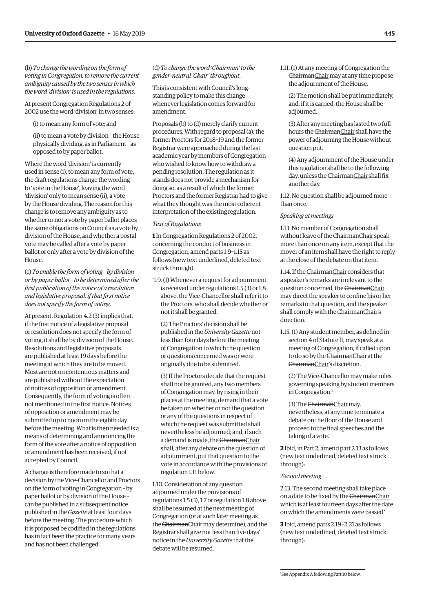<span id="page-2-0"></span>(b) *To change the wording on the form of voting in Congregation, to remove the current ambiguity caused by the two senses in which the word 'division' is used in the regulations*.

At present Congregation Regulations 2 of 2002 use the word 'division' in two senses:

(i) to mean any form of vote; and

(ii) to mean a vote by division—the House physically dividing, as in Parliament—as opposed to by paper ballot.

Where the word 'division' is currently used in sense (i), to mean any form of vote, the draft regulations change the wording to 'vote in the House', leaving the word 'division' only to mean sense (ii), a vote by the House dividing. The reason for this change is to remove any ambiguity as to whether or not a vote by paper ballot places the same obligations on Council as a vote by division of the House, and whether a postal vote may be called after a vote by paper ballot or only after a vote by division of the House.

(c) *To enable the form of voting – by division or by paper ballot – to be determined after the first publication of the notice of a resolution and legislative proposal, if that first notice does not specify the form of voting*.

At present, Regulation 4.2 (3) implies that, if the first notice of a legislative proposal or resolution does not specify the form of voting, it shall be by division of the House. Resolutions and legislative proposals are published at least 19 days before the meeting at which they are to be moved. Most are not on contentious matters and are published without the expectation of notices of opposition or amendment. Consequently, the form of voting is often not mentioned in the first notice. Notices of opposition or amendment may be submitted up to noon on the eighth day before the meeting. What is then needed is a means of determining and announcing the form of the vote after a notice of opposition or amendment has been received, if not accepted by Council.

A change is therefore made to so that a decision by the Vice-Chancellor and Proctors on the form of voting in Congregation – by paper ballot or by division of the House – can be published in a subsequent notice published in the *Gazette* at least four days before the meeting. The procedure which it is proposed be codified in the regulations has in fact been the practice for many years and has not been challenged.

# (d) *To change the word 'Chairman' to the gender-neutral 'Chair' throughout*.

This is consistent with Council's longstanding policy to make this change whenever legislation comes forward for amendment.

Proposals (b) to (d) merely clarify current procedures. With regard to proposal (a), the former Proctors for 2018–19 and the former Registrar were approached during the last academic year by members of Congregation who wished to know how to withdraw a pending resolution. The regulation as it stands does not provide a mechanism for doing so, as a result of which the former Proctors and the former Registrar had to give what they thought was the most coherent interpretation of the existing regulation.

#### *Text of Regulations*

**1** In Congregation Regulations 2 of 2002, concerning the conduct of business in Congregation, amend parts 1.9–1.15 as follows (new text underlined, deleted text struck through):

'1.9. (1) Whenever a request for adjournment is received under regulations 1.5 (3) or 1.8 above, the Vice-Chancellor shall refer it to the Proctors, who shall decide whether or not it shall be granted.

(2) The Proctors' decision shall be published in the *University Gazette* not less than four days before the meeting of Congregation to which the question or questions concerned was or were originally due to be submitted.

(3) If the Proctors decide that the request shall not be granted, any two members of Congregation may, by rising in their places at the meeting, demand that a vote be taken on whether or not the question or any of the questions in respect of which the request was submitted shall nevertheless be adjourned; and, if such a demand is made, the ChairmanChair shall, after any debate on the question of adjournment, put that question to the vote in accordance with the provisions of regulation 1.11 below.

1.10. Consideration of any question adjourned under the provisions of regulations 1.5 (3), 1.7 or regulation 1.8 above shall be resumed at the next meeting of Congregation (or at such later meeting as the ChairmanChair may determine), and the Registrar shall give not less than five days' notice in the *University Gazette* that the debate will be resumed.

1.11. (1) At any meeting of Congregation the ChairmanChair may at any time propose the adjournment of the House.

(2) The motion shall be put immediately, and, if it is carried, the House shall be adjourned.

(3) After any meeting has lasted two full hours the ChairmanChair shall have the power of adjourning the House without question put.

(4) Any adjournment of the House under this regulation shall be to the following day, unless the ChairmanChair shall fix another day.

1.12. No question shall be adjourned more than once.

#### *Speaking at meetings*

1.13. No member of Congregation shall without leave of the ChairmanChair speak more than once on any item, except that the mover of an item shall have the right to reply at the close of the debate on that item.

1.14. If the ChairmanChair considers that a speaker's remarks are irrelevant to the question concerned, the ChairmanChair may direct the speaker to confine his or her remarks to that question, and the speaker shall comply with the ChairmanChair's direction.

1.15. (1) Any student member, as defined in section 4 of Statute II, may speak at a meeting of Congregation, if called upon to do so by the ChairmanChair at the ChairmanChair's discretion.

(2) The Vice-Chancellor may make rules governing speaking by student members in Congregation.<sup>1</sup>

(3) The ChairmanChair may, nevertheless, at any time terminate a debate on the floor of the House and proceed to the final speeches and the taking of a vote.'

**2** Ibid, in Part 2, amend part 2.13 as follows (new text underlined, deleted text struck through):

# '*Second meeting*

2.13. The second meeting shall take place on a date to be fixed by the ChairmanChair which is at least fourteen days after the date on which the amendments were passed.'

**3** Ibid, amend parts 2.19−2.21 as follows (new text underlined, deleted text struck through):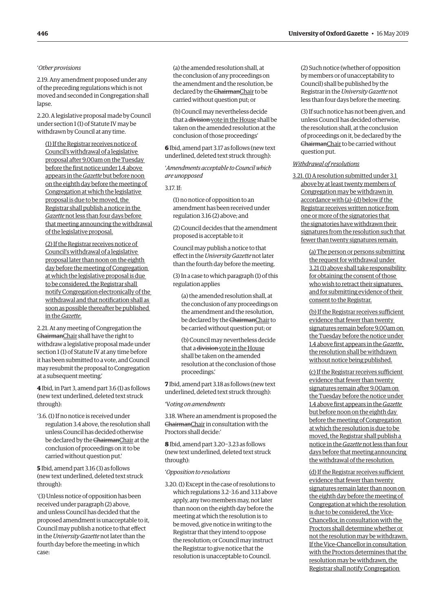# '*Other provisions*

2.19. Any amendment proposed under any of the preceding regulations which is not moved and seconded in Congregation shall lapse.

2.20. A legislative proposal made by Council under section 1 (1) of Statute IV may be withdrawn by Council at any time.

(1) If the Registrar receives notice of Council's withdrawal of a legislative proposal after 9.00am on the Tuesday before the first notice under 1.4 above appears in the *Gazette* but before noon on the eighth day before the meeting of Congregation at which the legislative proposal is due to be moved, the Registrar shall publish a notice in the *Gazette* not less than four days before that meeting announcing the withdrawal of the legislative proposal.

(2) If the Registrar receives notice of Council's withdrawal of a legislative proposal later than noon on the eighth day before the meeting of Congregation at which the legislative proposal is due to be considered, the Registrar shall notify Congregation electronically of the withdrawal and that notification shall as soon as possible thereafter be published in the *Gazette*.

2.21. At any meeting of Congregation the ChairmanChair shall have the right to withdraw a legislative proposal made under section 1 (1) of Statute IV at any time before it has been submitted to a vote, and Council may resubmit the proposal to Congregation at a subsequent meeting.'

**4** Ibid, in Part 3, amend part 3.6 (1) as follows (new text underlined, deleted text struck through):

'3.6. (1) If no notice is received under regulation 3.4 above, the resolution shall unless Council has decided otherwise be declared by the ChairmanChair at the conclusion of proceedings on it to be carried without question put.'

**5** Ibid, amend part 3.16 (3) as follows (new text underlined, deleted text struck through):

'(3) Unless notice of opposition has been received under paragraph (2) above, and unless Council has decided that the proposed amendment is unacceptable to it, Council may publish a notice to that effect in the *University Gazette* not later than the fourth day before the meeting; in which case:

(a) the amended resolution shall, at the conclusion of any proceedings on the amendment and the resolution, be declared by the ChairmanChair to be carried without question put; or

(b) Council may nevertheless decide that a division vote in the House shall be taken on the amended resolution at the conclusion of those proceedings'

**6** Ibid, amend part 3.17 as follows (new text underlined, deleted text struck through):

'*Amendments acceptable to Council which are unopposed*

3.17. If:

(1) no notice of opposition to an amendment has been received under regulation 3.16 (2) above; and

(2) Council decides that the amendment proposed is acceptable to it

Council may publish a notice to that effect in the *University Gazette* not later than the fourth day before the meeting.

(3) In a case to which paragraph (1) of this regulation applies

(a) the amended resolution shall, at the conclusion of any proceedings on the amendment and the resolution, be declared by the ChairmanChair to be carried without question put; or

(b) Council may nevertheless decide that a division vote in the House shall be taken on the amended resolution at the conclusion of those proceedings.'

**7** Ibid, amend part 3.18 as follows (new text underlined, deleted text struck through):

# 'V*oting on amendments*

3.18. Where an amendment is proposed the ChairmanChair in consultation with the Proctors shall decide:'

**8** Ibid, amend part 3.20−3.23 as follows (new text underlined, deleted text struck through):

#### '*Opposition to resolutions*

3.20. (1) Except in the case of resolutions to which regulations 3.2–3.6 and 3.13 above apply, any two members may, not later than noon on the eighth day before the meeting at which the resolution is to be moved, give notice in writing to the Registrar that they intend to oppose the resolution; or Council may instruct the Registrar to give notice that the resolution is unacceptable to Council.

(2) Such notice (whether of opposition by members or of unacceptability to Council) shall be published by the Registrar in the *University Gazette* not less than four days before the meeting.

(3) If such notice has not been given, and unless Council has decided otherwise, the resolution shall, at the conclusion of proceedings on it, be declared by the ChairmanChair to be carried without question put.

# *Withdrawal of resolutions*

3.21. (1) A resolution submitted under 3.1 above by at least twenty members of Congregation may be withdrawn in accordance with (a)–(d) below if the Registrar receives written notice from one or more of the signatories that the signatories have withdrawn their signatures from the resolution such that fewer than twenty signatures remain.

> (a) The person or persons submitting the request for withdrawal under 3.21 (1) above shall take responsibility for obtaining the consent of those who wish to retract their signatures, and for submitting evidence of their consent to the Registrar.

(b) If the Registrar receives sufficient evidence that fewer than twenty signatures remain before 9.00am on the Tuesday before the notice under 1.4 above first appears in the *Gazette*, the resolution shall be withdrawn without notice being published.

(c) If the Registrar receives sufficient evidence that fewer than twenty signatures remain after 9.00am on the Tuesday before the notice under 1.4 above first appears in the *Gazette* but before noon on the eighth day before the meeting of Congregation at which the resolution is due to be moved, the Registrar shall publish a notice in the *Gazette* not less than four days before that meeting announcing the withdrawal of the resolution.

(d) If the Registrar receives sufficient evidence that fewer than twenty signatures remain later than noon on the eighth day before the meeting of Congregation at which the resolution is due to be considered, the Vice-Chancellor, in consultation with the Proctors shall determine whether or not the resolution may be withdrawn. If the Vice-Chancellor in consultation with the Proctors determines that the resolution may be withdrawn, the Registrar shall notify Congregation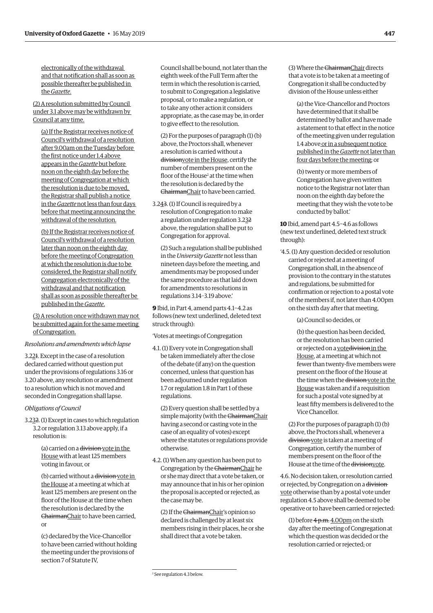electronically of the withdrawal and that notification shall as soon as possible thereafter be published in the *Gazette*.

(2) A resolution submitted by Council under 3.1 above may be withdrawn by Council at any time.

(a) If the Registrar receives notice of Council's withdrawal of a resolution after 9.00am on the Tuesday before the first notice under 1.4 above appears in the *Gazette* but before noon on the eighth day before the meeting of Congregation at which the resolution is due to be moved, the Registrar shall publish a notice in the *Gazette* not less than four days before that meeting announcing the withdrawal of the resolution.

(b) If the Registrar receives notice of Council's withdrawal of a resolution later than noon on the eighth day before the meeting of Congregation at which the resolution is due to be considered, the Registrar shall notify Congregation electronically of the withdrawal and that notification shall as soon as possible thereafter be published in the *Gazette*.

(3) A resolution once withdrawn may not be submitted again for the same meeting of Congregation.

#### *Resolutions and amendments which lapse*

3.221. Except in the case of a resolution declared carried without question put under the provisions of regulations 3.16 or 3.20 above, any resolution or amendment to a resolution which is not moved and seconded in Congregation shall lapse.

#### *Obligations of Council*

3.232. (1) Except in cases to which regulation 3.2 or regulation 3.13 above apply, if a resolution is:

> (a) carried on a division vote in the House with at least 125 members voting in favour, or

(b) carried without a division vote in the House at a meeting at which at least 125 members are present on the floor of the House at the time when the resolution is declared by the ChairmanChair to have been carried, or

(c) declared by the Vice-Chancellor to have been carried without holding the meeting under the provisions of section 7 of Statute IV,

Council shall be bound, not later than the eighth week of the Full Term after the term in which the resolution is carried, to submit to Congregation a legislative proposal, or to make a regulation, or to take any other action it considers appropriate, as the case may be, in order to give effect to the resolution.

(2) For the purposes of paragraph (1) (b) above, the Proctors shall, whenever a resolution is carried without a divisionvote in the House, certify the number of members present on the floor of the House<sup>2</sup> at the time when the resolution is declared by the ChairmanChair to have been carried.

3.243. (1) If Council is required by a resolution of Congregation to make a regulation under regulation 3.232 above, the regulation shall be put to Congregation for approval.

(2) Such a regulation shall be published in the *University Gazette* not less than nineteen days before the meeting, and amendments may be proposed under the same procedure as that laid down for amendments to resolutions in regulations 3.14–3.19 above.'

**9** Ibid, in Part 4, amend parts 4.1−4.2 as follows (new text underlined, deleted text struck through):

#### 'Votes at meetings of Congregation

4.1. (1) Every vote in Congregation shall be taken immediately after the close of the debate (if any) on the question concerned, unless that question has been adjourned under regulation 1.7 or regulation 1.8 in Part 1 of these regulations.

(2) Every question shall be settled by a simple majority (with the ChairmanChair having a second or casting vote in the case of an equality of votes) except where the statutes or regulations provide otherwise.

4.2. (1) When any question has been put to Congregation by the ChairmanChair he or she may direct that a vote be taken, or may announce that in his or her opinion the proposal is accepted or rejected, as the case may be.

(2) If the ChairmanChair's opinion so declared is challenged by at least six members rising in their places, he or she shall direct that a vote be taken.

(3) Where the ChairmanChair directs that a vote is to be taken at a meeting of Congregation it shall be conducted by division of the House unless either

(a) the Vice-Chancellor and Proctors have determined that it shall be determined by ballot and have made a statement to that effect in the notice of the meeting given under regulation 1.4 above or in a subsequent notice published in the *Gazette* not later than four days before the meeting; or

(b) twenty or more members of Congregation have given written notice to the Registrar not later than noon on the eighth day before the meeting that they wish the vote to be conducted by ballot.'

**10** Ibid, amend part 4.5−4.6 as follows (new text underlined, deleted text struck through):

'4.5. (1) Any question decided or resolution carried or rejected at a meeting of Congregation shall, in the absence of provision to the contrary in the statutes and regulations, be submitted for confirmation or rejection to a postal vote of the members if, not later than 4.00pm on the sixth day after that meeting,

(a) Council so decides, or

(b) the question has been decided, or the resolution has been carried or rejected on a votedivision in the House, at a meeting at which not fewer than twenty-five members were present on the floor of the House at the time when the division vote in the House was taken and if a requisition for such a postal vote signed by at least fifty members is delivered to the Vice Chancellor.

(2) For the purposes of paragraph (1) (b) above, the Proctors shall, whenever a division vote is taken at a meeting of Congregation, certify the number of members present on the floor of the House at the time of the divisionvote.

4.6. No decision taken, or resolution carried or rejected, by Congregation on a division vote otherwise than by a postal vote under regulation 4.5 above shall be deemed to be operative or to have been carried or rejected:

(1) before  $4 p.m. 4.00 pm$  on the sixth day after the meeting of Congregation at which the question was decided or the resolution carried or rejected; or

<sup>2</sup> See regulation 4.3 below.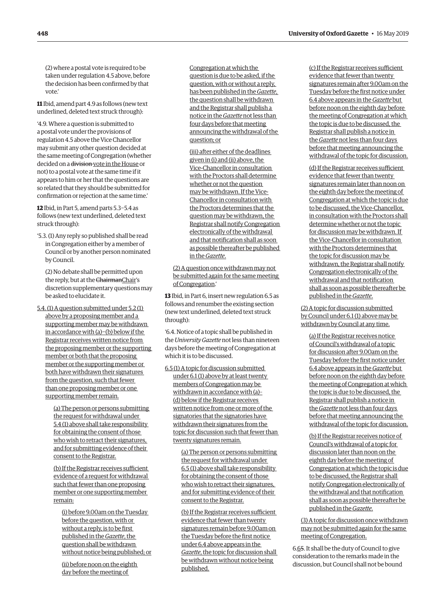(2) where a postal vote is required to be taken under regulation 4.5 above, before the decision has been confirmed by that vote.'

**11** Ibid, amend part 4.9 as follows (new text underlined, deleted text struck through):

'4.9. Where a question is submitted to a postal vote under the provisions of regulation 4.5 above the Vice Chancellor may submit any other question decided at the same meeting of Congregation (whether decided on a division vote in the House or not) to a postal vote at the same time if it appears to him or her that the questions are so related that they should be submitted for confirmation or rejection at the same time.'

**12** Ibid, in Part 5, amend parts 5.3−5.4 as follows (new text underlined, deleted text struck through):

'5.3. (1) Any reply so published shall be read in Congregation either by a member of Council or by another person nominated by Council.

(2) No debate shall be permitted upon the reply, but at the ChairmanChair's discretion supplementary questions may be asked to elucidate it.

5.4. (1) A question submitted under 5.2 (1) above by a proposing member and a supporting member may be withdrawn in accordance with (a)−(b) below if the Registrar receives written notice from the proposing member or the supporting member or both that the proposing member or the supporting member or both have withdrawn their signatures from the question, such that fewer than one proposing member or one supporting member remain.

> (a) The person or persons submitting the request for withdrawal under 5.4 (1) above shall take responsibility for obtaining the consent of those who wish to retract their signatures, and for submitting evidence of their consent to the Registrar.

> (b) If the Registrar receives sufficient evidence of a request for withdrawal such that fewer than one proposing member or one supporting member remain:

(i) before 9.00am on the Tuesday before the question, with or without a reply, is to be first published in the *Gazette*, the question shall be withdrawn without notice being published; or

(ii) before noon on the eighth day before the meeting of

Congregation at which the question is due to be asked, if the question, with or without a reply, has been published in the *Gazette*, the question shall be withdrawn and the Registrar shall publish a notice in the *Gazette* not less than four days before that meeting announcing the withdrawal of the question; or

(iii) after either of the deadlines given in (i) and (ii) above, the Vice-Chancellor in consultation with the Proctors shall determine whether or not the question may be withdrawn. If the Vice-Chancellor in consultation with the Proctors determines that the question may be withdrawn, the Registrar shall notify Congregation electronically of the withdrawal and that notification shall as soon as possible thereafter be published in the *Gazette*.

(2) A question once withdrawn may not be submitted again for the same meeting of Congregation.'

**13** Ibid, in Part 6, insert new regulation 6.5 as follows and renumber the existing section (new text underlined, deleted text struck through):

'6.4. Notice of a topic shall be published in the *University Gazette* not less than nineteen days before the meeting of Congregation at which it is to be discussed.

6.5 (1) A topic for discussion submitted under 6.1 (1) above by at least twenty members of Congregation may be withdrawn in accordance with (a)– (d) below if the Registrar receives written notice from one or more of the signatories that the signatories have withdrawn their signatures from the topic for discussion such that fewer than twenty signatures remain.

> (a) The person or persons submitting the request for withdrawal under 6.5 (1) above shall take responsibility for obtaining the consent of those who wish to retract their signatures, and for submitting evidence of their consent to the Registrar.

> (b) If the Registrar receives sufficient evidence that fewer than twenty signatures remain before 9.00am on the Tuesday before the first notice under 6.4 above appears in the *Gazette*, the topic for discussion shall be withdrawn without notice being published.

(c) If the Registrar receives sufficient evidence that fewer than twenty signatures remain after 9.00am on the Tuesday before the first notice under 6.4 above appears in the *Gazette* but before noon on the eighth day before the meeting of Congregation at which the topic is due to be discussed, the Registrar shall publish a notice in the *Gazette* not less than four days before that meeting announcing the withdrawal of the topic for discussion.

(d) If the Registrar receives sufficient evidence that fewer than twenty signatures remain later than noon on the eighth day before the meeting of Congregation at which the topic is due to be discussed, the Vice-Chancellor, in consultation with the Proctors shall determine whether or not the topic for discussion may be withdrawn. If the Vice-Chancellor in consultation with the Proctors determines that the topic for discussion may be withdrawn, the Registrar shall notify Congregation electronically of the withdrawal and that notification shall as soon as possible thereafter be published in the *Gazette*.

(2) A topic for discussion submitted by Council under 6.1 (1) above may be withdrawn by Council at any time.

(a) If the Registrar receives notice of Council's withdrawal of a topic for discussion after 9.00am on the Tuesday before the first notice under 6.4 above appears in the *Gazette* but before noon on the eighth day before the meeting of Congregation at which the topic is due to be discussed, the Registrar shall publish a notice in the *Gazette* not less than four days before that meeting announcing the withdrawal of the topic for discussion.

(b) If the Registrar receives notice of Council's withdrawal of a topic for discussion later than noon on the eighth day before the meeting of Congregation at which the topic is due to be discussed, the Registrar shall notify Congregation electronically of the withdrawal and that notification shall as soon as possible thereafter be published in the *Gazette*.

(3) A topic for discussion once withdrawn may not be submitted again for the same meeting of Congregation.

6.65. It shall be the duty of Council to give consideration to the remarks made in the discussion, but Council shall not be bound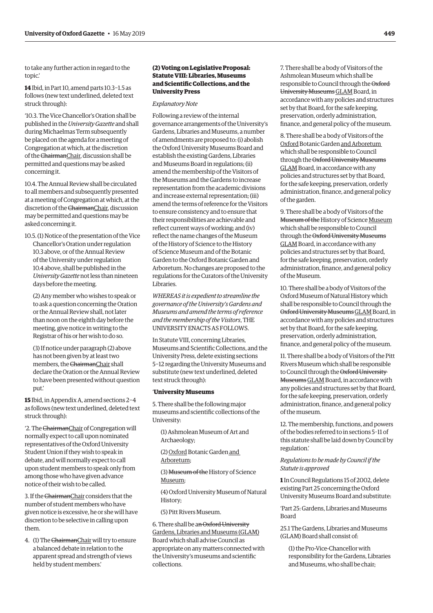<span id="page-6-0"></span>to take any further action in regard to the topic.'

**14** Ibid, in Part 10, amend parts 10.3−1.5 as follows (new text underlined, deleted text struck through):

'10.3. The Vice Chancellor's Oration shall be published in the *University Gazette* and shall during Michaelmas Term subsequently be placed on the agenda for a meeting of Congregation at which, at the discretion of the ChairmanChair, discussion shall be permitted and questions may be asked concerning it.

10.4. The Annual Review shall be circulated to all members and subsequently presented at a meeting of Congregation at which, at the discretion of the ChairmanChair, discussion may be permitted and questions may be asked concerning it.

10.5. (1) Notice of the presentation of the Vice Chancellor's Oration under regulation 10.3 above, or of the Annual Review of the University under regulation 10.4 above, shall be published in the *University Gazette* not less than nineteen days before the meeting.

(2) Any member who wishes to speak or to ask a question concerning the Oration or the Annual Review shall, not later than noon on the eighth day before the meeting, give notice in writing to the Registrar of his or her wish to do so.

(3) If notice under paragraph (2) above has not been given by at least two members, the ChairmanChair shall declare the Oration or the Annual Review to have been presented without question put.'

**15** Ibid, in Appendix A, amend sections 2−4 as follows (new text underlined, deleted text struck through):

'2. The ChairmanChair of Congregation will normally expect to call upon nominated representatives of the Oxford University Student Union if they wish to speak in debate, and will normally expect to call upon student members to speak only from among those who have given advance notice of their wish to be called.

3. If the ChairmanChair considers that the number of student members who have given notice is excessive, he or she will have discretion to be selective in calling upon them.

4. (1) The ChairmanChair will try to ensure a balanced debate in relation to the apparent spread and strength of views held by student members.'

# **(2) Voting on Legislative Proposal: Statute VIII: Libraries, Museums and Scientific Collections, and the University Press**

#### *Explanatory Note*

Following a review of the internal governance arrangements of the University's Gardens, Libraries and Museums, a number of amendments are proposed to: (i) abolish the Oxford University Museums Board and establish the existing Gardens, Libraries and Museums Board in regulations; (ii) amend the membership of the Visitors of the Museums and the Gardens to increase representation from the academic divisions and increase external representation; (iii) amend the terms of reference for the Visitors to ensure consistency and to ensure that their responsibilities are achievable and reflect current ways of working; and (iv) reflect the name changes of the Museum of the History of Science to the History of Science Museum and of the Botanic Garden to the Oxford Botanic Garden and Arboretum. No changes are proposed to the regulations for the Curators of the University Libraries.

*WHEREAS it is expedient to streamline the governance of the University's Gardens and Museums and amend the terms of reference and the membership of the Visitors*, THE UNIVERSITY ENACTS AS FOLLOWS.

In Statute VIII, concerning Libraries, Museums and Scientific Collections, and the University Press, delete existing sections 5−12 regarding the University Museums and substitute (new text underlined, deleted text struck through):

#### '**University Museums**

5. There shall be the following major museums and scientific collections of the University:

(1) Ashmolean Museum of Art and Archaeology;

(2) Oxford Botanic Garden and Arboretum;

(3) Museum of the History of Science Museum;

(4) Oxford University Museum of Natural History;

(5) Pitt Rivers Museum.

6. There shall be an Oxford University Gardens, Libraries and Museums (GLAM) Board which shall advise Council as appropriate on any matters connected with the University's museums and scientific collections.

7. There shall be a body of Visitors of the Ashmolean Museum which shall be responsible to Council through the Oxford University MuseumsGLAM Board, in accordance with any policies and structures set by that Board, for the safe keeping, preservation, orderly administration, finance, and general policy of the museum.

8. There shall be a body of Visitors of the Oxford Botanic Garden and Arboretum which shall be responsible to Council through the Oxford University Museums GLAM Board, in accordance with any policies and structures set by that Board, for the safe keeping, preservation, orderly administration, finance, and general policy of the garden.

9. There shall be a body of Visitors of the Museum of the History of Science Museum which shall be responsible to Council through the Oxford University Museums GLAM Board, in accordance with any policies and structures set by that Board, for the safe keeping, preservation, orderly administration, finance, and general policy of the Museum.

10. There shall be a body of Visitors of the Oxford Museum of Natural History which shall be responsible to Council through the Oxford University MuseumsGLAM Board, in accordance with any policies and structures set by that Board, for the safe keeping, preservation, orderly administration, finance, and general policy of the museum.

11. There shall be a body of Visitors of the Pitt Rivers Museum which shall be responsible to Council through the Oxford University MuseumsGLAM Board, in accordance with any policies and structures set by that Board, for the safe keeping, preservation, orderly administration, finance, and general policy of the museum.

12. The membership, functions, and powers of the bodies referred to in sections 5–11 of this statute shall be laid down by Council by regulation.'

*Regulations to be made by Council if the Statute is approved*

**1** In Council Regulations 15 of 2002, delete existing Part 25 concerning the Oxford University Museums Board and substitute:

'Part 25: Gardens, Libraries and Museums Board

25.1 The Gardens, Libraries and Museums (GLAM) Board shall consist of:

(1) the Pro-Vice-Chancellor with responsibility for the Gardens, Libraries and Museums, who shall be chair;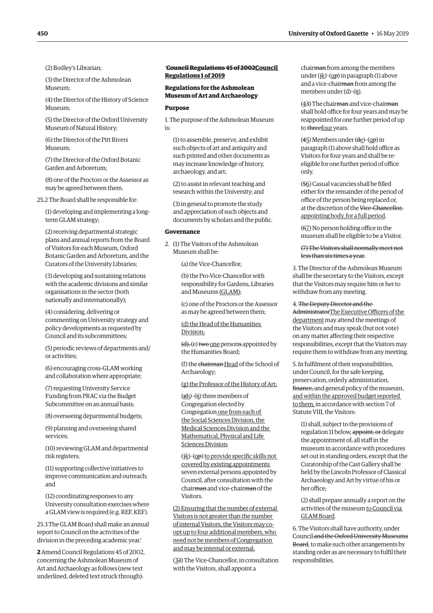(2) Bodley's Librarian;

(3) the Director of the Ashmolean Museum;

(4) the Director of the History of Science Museum;

(5) the Director of the Oxford University Museum of Natural History;

(6) the Director of the Pitt Rivers Museum;

(7) the Director of the Oxford Botanic Garden and Arboretum;

(8) one of the Proctors or the Assessor as may be agreed between them.

25.2 The Board shall be responsible for:

(1) developing and implementing a longterm GLAM strategy;

(2) receiving departmental strategic plans and annual reports from the Board of Visitors for each Museum, Oxford Botanic Garden and Arboretum, and the Curators of the University Libraries;

(3) developing and sustaining relations with the academic divisions and similar organisations in the sector (both nationally and internationally);

(4) considering, delivering or commenting on University strategy and policy developments as requested by Council and its subcommittees;

(5) periodic reviews of departments and/ or activities;

(6) encouraging cross-GLAM working and collaboration where appropriate;

(7) requesting University Service Funding from PRAC via the Budget Subcommittee on an annual basis;

(8) overseeing departmental budgets;

(9) planning and overseeing shared services;

(10) reviewing GLAM and departmental risk registers;

(11) supporting collective initiatives to improve communication and outreach; and

(12) coordinating responses to any University consultation exercises where a GLAM view is required (e.g. REF, KEF).

25.3 The GLAM Board shall make an annual report to Council on the activities of the division in the preceding academic year.'

**2** Amend Council Regulations 45 of 2002, concerning the Ashmolean Museum of Art and Archaeology as follows (new text underlined, deleted text struck through):

# '**Council Regulations 45 of 2002Council Regulations 1 of 2019**

# **Regulations for the Ashmolean Museum of Art and Archaeology**

#### **Purpose**

1. The purpose of the Ashmolean Museum is:

(1) to assemble, preserve, and exhibit such objects of art and antiquity and such printed and other documents as may increase knowledge of history, archaeology, and art;

(2) to assist in relevant teaching and research within the University; and

(3) in general to promote the study and appreciation of such objects and documents by scholars and the public.

# **Governance**

2. (1) The Visitors of the Ashmolean Museum shall be:

(a) the Vice-Chancellor;

(b) the Pro-Vice-Chancellor with responsibility for Gardens, Libraries and Museums (GLAM);

(c) one of the Proctors or the Assessor as may be agreed between them;

(d) the Head of the Humanities Division;

(d), (e) two one persons appointed by the Humanities Board;

(f) the chairman Head of the School of Archaeology;

(g) the Professor of the History of Art;

(gh)–(ij) three members of Congregation elected by Congregation one from each of the Social Sciences Division, the Medical Sciences Division and the Mathematical, Physical and Life Sciences Division;

(jk)–(qp) to provide specific skills not covered by existing appointments seven external persons appointed by Council, after consultation with the chairman and vice-chairman of the Visitors.

(2) Ensuring that the number of external Visitors is not greater than the number of internal Visitors, the Visitors may coopt up to four additional members, who need not be members of Congregation and may be internal or external.

(32) The Vice-Chancellor, in consultation with the Visitors, shall appoint a

chairman from among the members under ( $\frac{i}{k}$ )–(qp) in paragraph (1) above and a vice-chairman from among the members under (d)–(ij).

(43) The chairman and vice-chairman shall hold office for four years and may be reappointed for one further period of up to threefour years.

(45) Members under (de)–(qp) in paragraph (1) above shall hold office as Visitors for four years and shall be reeligible for one further period of office only.

(56) Casual vacancies shall be filled either for the remainder of the period of office of the person being replaced or, at the discretion of the Vice-Chancellor, appointing body, for a full period.

(67) No person holding office in the museum shall be eligible to be a Visitor.

# (7) The Visitors shall normally meet not less than six times a year.

3. The Director of the Ashmolean Museum shall be the secretary to the Visitors, except that the Visitors may require him or her to withdraw from any meeting.

# 4. The Deputy Director and the

AdministratorThe Executive Officers of the department may attend the meetings of the Visitors and may speak (but not vote) on any matter affecting their respective responsibilities, except that the Visitors may require them to withdraw from any meeting.

5. In fulfilment of their responsibilities, under Council, for the safe keeping, preservation, orderly administration, finance, and general policy of the museum, and within the approved budget reported to them, in accordance with section 7 of Statute VIII, the Visitors:

(1) shall, subject to the provisions of regulation 11 below, appoint, or delegate the appointment of, all staff in the museum in accordance with procedures set out in standing orders, except that the Curatorship of the Cast Gallery shall be held by the Lincoln Professor of Classical Archaeology and Art by virtue of his or her office;

(2) shall prepare annually a report on the activities of the museum to Council via GLAM Board.

6. The Visitors shall have authority, under Council and the Oxford University Museums Board, to make such other arrangements by standing order as are necessary to fulfil their responsibilities.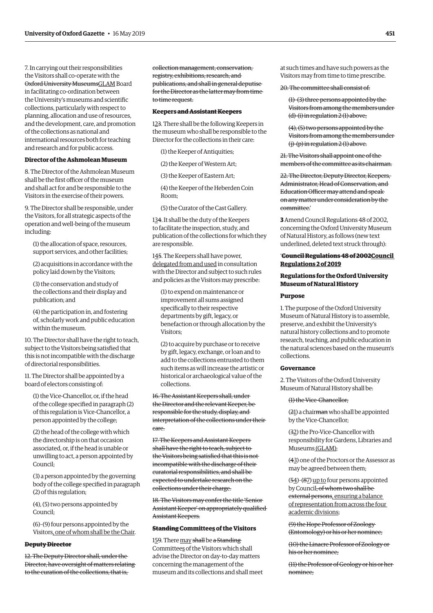7. In carrying out their responsibilities the Visitors shall co-operate with the Oxford University MuseumsGLAM Board in facilitating co-ordination between the University's museums and scientific collections, particularly with respect to planning, allocation and use of resources, and the development, care, and promotion of the collections as national and international resources both for teaching and research and for public access.

# **Director of the Ashmolean Museum**

8. The Director of the Ashmolean Museum shall be the first officer of the museum and shall act for and be responsible to the Visitors in the exercise of their powers.

9. The Director shall be responsible, under the Visitors, for all strategic aspects of the operation and well-being of the museum including:

(1) the allocation of space, resources, support services, and other facilities;

(2) acquisitions in accordance with the policy laid down by the Visitors;

(3) the conservation and study of the collections and their display and publication; and

(4) the participation in, and fostering of, scholarly work and public education within the museum.

10. The Director shall have the right to teach, subject to the Visitors being satisfied that this is not incompatible with the discharge of directorial responsibilities.

11. The Director shall be appointed by a board of electors consisting of:

(1) the Vice-Chancellor, or, if the head of the college specified in paragraph (2) of this regulation is Vice-Chancellor, a person appointed by the college;

(2) the head of the college with which the directorship is on that occasion associated, or, if the head is unable or unwilling to act, a person appointed by Council;

(3) a person appointed by the governing body of the college specified in paragraph (2) of this regulation;

(4), (5) two persons appointed by Council;

(6)–(9) four persons appointed by the Visitors, one of whom shall be the Chair.

# **Deputy Director**

12. The Deputy Director shall, under the Director, have oversight of matters relating to the curation of the collections, that is,

collection management, conservation, registry, exhibitions, research, and publications, and shall in general deputise for the Director as the latter may from time to time request.

# **Keepers and Assistant Keepers**

123. There shall be the following Keepers in the museum who shall be responsible to the Director for the collections in their care:

(1) the Keeper of Antiquities;

(2) the Keeper of Western Art;

(3) the Keeper of Eastern Art;

(4) the Keeper of the Heberden Coin Room;

(5) the Curator of the Cast Gallery.

134. It shall be the duty of the Keepers to facilitate the inspection, study, and publication of the collections for which they are responsible.

145. The Keepers shall have power, delegated from and used in consultation with the Director and subject to such rules and policies as the Visitors may prescribe:

(1) to expend on maintenance or improvement all sums assigned specifically to their respective departments by gift, legacy, or benefaction or through allocation by the Visitors;

(2) to acquire by purchase or to receive by gift, legacy, exchange, or loan and to add to the collections entrusted to them such items as will increase the artistic or historical or archaeological value of the collections.

16. The Assistant Keepers shall, under the Director and the relevant Keeper, be responsible for the study, display, and interpretation of the collections under their care.

17. The Keepers and Assistant Keepers shall have the right to teach, subject to the Visitors being satisfied that this is not incompatible with the discharge of their curatorial responsibilities, and shall be expected to undertake research on the collections under their charge.

18. The Visitors may confer the title 'Senior Assistant Keeper' on appropriately qualified Assistant Keepers.

# **Standing Committees of the Visitors**

159. There may shall be a Standing Committees of the Visitors which shall advise the Director on day-to-day matters concerning the management of the museum and its collections and shall meet at such times and have such powers as the Visitors may from time to time prescribe.

20. The committee shall consist of:

(1)–(3) three persons appointed by the Visitors from among the members under (d)-(i) in regulation 2 (1) above;

(4), (5) two persons appointed by the Visitors from among the members under (j)-(p) in regulation 2 (1) above.

21. The Visitors shall appoint one of the members of the committee as its chairman.

22. The Director, Deputy Director, Keepers, Administrator, Head of Conservation, and Education Officer may attend and speak on any matter under consideration by the committee.'

**3** Amend Council Regulations 48 of 2002, concerning the Oxford University Museum of Natural History, as follows (new text underlined, deleted text struck through):

# '**Council Regulations 48 of 2002Council Regulations 2 of 2019**

# **Regulations for the Oxford University Museum of Natural History**

#### **Purpose**

1. The purpose of the Oxford University Museum of Natural History is to assemble, preserve, and exhibit the University's natural history collections and to promote research, teaching, and public education in the natural sciences based on the museum's collections.

#### **Governance**

2. The Visitors of the Oxford University Museum of Natural History shall be:

#### (1) the Vice-Chancellor;

(21) a chairman who shall be appointed by the Vice-Chancellor;

(32) the Pro-Vice-Chancellor with responsibility for Gardens, Libraries and Museums (GLAM);

(43) one of the Proctors or the Assessor as may be agreed between them;

(54)–(87) up to four persons appointed by Council, of whom two shall be external persons, ensuring a balance of representation from across the four academic divisions;

(9) the Hope Professor of Zoology (Entomology) or his or her nominee;

(10) the Linacre Professor of Zoology or his or her nominee;

(11) the Professor of Geology or his or her nominee;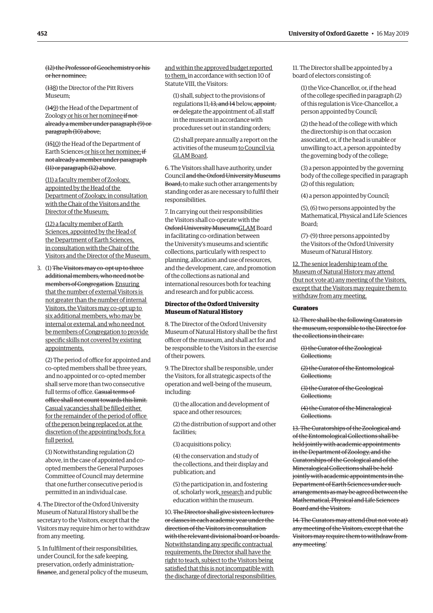(12) the Professor of Geochemistry or his or her nominee;

(138) the Director of the Pitt Rivers Museum;

(149) the Head of the Department of Zoology or his or her nominee if not already a member under paragraph (9) or paragraph (10) above;

(1510) the Head of the Department of Earth Sciences or his or her nominee; if not already a member under paragraph (11) or paragraph (12) above.

(11) a faculty member of Zoology, appointed by the Head of the Department of Zoology, in consultation with the Chair of the Visitors and the Director of the Museum;

(12) a faculty member of Earth Sciences, appointed by the Head of the Department of Earth Sciences, in consultation with the Chair of the Visitors and the Director of the Museum.

3. (1) The Visitors may co-opt up to three additional members, who need not be members of Congregation. Ensuring that the number of external Visitors is not greater than the number of internal Visitors, the Visitors may co-opt up to six additional members, who may be internal or external, and who need not be members of Congregation to provide specific skills not covered by existing appointments.

(2) The period of office for appointed and co-opted members shall be three years, and no appointed or co-opted member shall serve more than two consecutive full terms of office. Casual terms of office shall not count towards this limit. Casual vacancies shall be filled either for the remainder of the period of office of the person being replaced or, at the discretion of the appointing body, for a full period.

(3) Notwithstanding regulation (2) above, in the case of appointed and coopted members the General Purposes Committee of Council may determine that one further consecutive period is permitted in an individual case.

4. The Director of the Oxford University Museum of Natural History shall be the secretary to the Visitors, except that the Visitors may require him or her to withdraw from any meeting.

5. In fulfilment of their responsibilities, under Council, for the safe keeping, preservation, orderly administration, finance, and general policy of the museum, and within the approved budget reported to them, in accordance with section 10 of Statute VIII, the Visitors:

(1) shall, subject to the provisions of regulations 11, 13, and 14 below, appoint, or delegate the appointment of, all staff in the museum in accordance with procedures set out in standing orders;

(2) shall prepare annually a report on the activities of the museum to Council via GLAM Board.

6. The Visitors shall have authority, under Council and the Oxford University Museums Board, to make such other arrangements by standing order as are necessary to fulfil their responsibilities.

7. In carrying out their responsibilities the Visitors shall co-operate with the Oxford University MuseumsGLAM Board in facilitating co-ordination between the University's museums and scientific collections, particularly with respect to planning, allocation and use of resources, and the development, care, and promotion of the collections as national and international resources both for teaching and research and for public access.

# **Director of the Oxford University Museum of Natural History**

8. The Director of the Oxford University Museum of Natural History shall be the first officer of the museum, and shall act for and be responsible to the Visitors in the exercise of their powers.

9. The Director shall be responsible, under the Visitors, for all strategic aspects of the operation and well-being of the museum, including:

(1) the allocation and development of space and other resources;

(2) the distribution of support and other facilities;

(3) acquisitions policy;

(4) the conservation and study of the collections, and their display and publication; and

(5) the participation in, and fostering of, scholarly work, research and public education within the museum.

10. The Director shall give sixteen lectures or classes in each academic year under the direction of the Visitors in consultation with the relevant divisional board or boards. Notwithstanding any specific contractual requirements, the Director shall have the right to teach, subject to the Visitors being satisfied that this is not incompatible with the discharge of directorial responsibilities.

11. The Director shall be appointed by a board of electors consisting of:

(1) the Vice-Chancellor, or, if the head of the college specified in paragraph (2) of this regulation is Vice-Chancellor, a person appointed by Council;

(2) the head of the college with which the directorship is on that occasion associated, or, if the head is unable or unwilling to act, a person appointed by the governing body of the college;

(3) a person appointed by the governing body of the college specified in paragraph (2) of this regulation;

(4) a person appointed by Council;

(5), (6) two persons appointed by the Mathematical, Physical and Life Sciences Board;

(7)–(9) three persons appointed by the Visitors of the Oxford University Museum of Natural History.

12. The senior leadership team of the Museum of Natural History may attend (but not vote at) any meeting of the Visitors, except that the Visitors may require them to withdraw from any meeting.

#### **Curators**

12. There shall be the following Curators in the museum, responsible to the Director for the collections in their care:

(1) the Curator of the Zoological Collections;

(2) the Curator of the Entomological Collections;

(3) the Curator of the Geological Collections;

(4) the Curator of the Mineralogical **Collections** 

13. The Curatorships of the Zoological and of the Entomological Collections shall be held jointly with academic appointments in the Department of Zoology, and the Curatorships of the Geological and of the Mineralogical Collections shall be held jointly with academic appointments in the Department of Earth Sciences under such arrangements as may be agreed between the Mathematical, Physical and Life Sciences Board and the Visitors.

14. The Curators may attend (but not vote at) any meeting of the Visitors, except that the Visitors may require them to withdraw from any meeting.'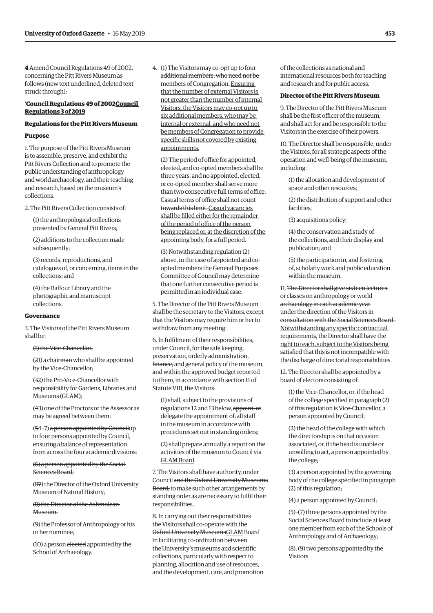**4** Amend Council Regulations 49 of 2002, concerning the Pitt Rivers Museum as follows (new text underlined, deleted text struck through):

# '**Council Regulations 49 of 2002Council Regulations 3 of 2019**

# **Regulations for the Pitt Rivers Museum**

#### **Purpose**

1. The purpose of the Pitt Rivers Museum is to assemble, preserve, and exhibit the Pitt Rivers Collection and to promote the public understanding of anthropology and world archaeology, and their teaching and research, based on the museum's collections.

2. The Pitt Rivers Collection consists of:

(1) the anthropological collections presented by General Pitt Rivers;

(2) additions to the collection made subsequently;

(3) records, reproductions, and catalogues of, or concerning, items in the collections; and

(4) the Balfour Library and the photographic and manuscript collections.

# **Governance**

3. The Visitors of the Pitt Rivers Museum shall be:

## (1) the Vice-Chancellor;

(21) a chairman who shall be appointed by the Vice-Chancellor;

(32) the Pro-Vice-Chancellor with responsibility for Gardens, Libraries and Museums (GLAM);

(43) one of the Proctors or the Assessor as may be agreed between them;

(54–7) a person appointed by Councilup to four persons appointed by Council, ensuring a balance of representation from across the four academic divisions;

(6) a person appointed by the Social Sciences Board;

(87) the Director of the Oxford University Museum of Natural History;

(8) the Director of the Ashmolean Museum:

(9) the Professor of Anthropology or his or her nominee;

(10) a person elected appointed by the School of Archaeology.

4. (1) The Visitors may co-opt up to four additional members, who need not be members of Congregation. Ensuring that the number of external Visitors is not greater than the number of internal Visitors, the Visitors may co-opt up to six additional members, who may be internal or external, and who need not be members of Congregation to provide specific skills not covered by existing appointments.

(2) The period of office for appointed, elected, and co-opted members shall be three years, and no appointed, elected, or co-opted member shall serve more than two consecutive full terms of office. Casual terms of office shall not count towards this limit. Casual vacancies shall be filled either for the remainder of the period of office of the person being replaced or, at the discretion of the appointing body, for a full period.

(3) Notwithstanding regulation (2) above, in the case of appointed and coopted members the General Purposes Committee of Council may determine that one further consecutive period is permitted in an individual case.

5. The Director of the Pitt Rivers Museum shall be the secretary to the Visitors, except that the Visitors may require him or her to withdraw from any meeting.

6. In fulfilment of their responsibilities, under Council, for the safe keeping, preservation, orderly administration, finance, and general policy of the museum, and within the approved budget reported to them, in accordance with section 11 of Statute VIII, the Visitors:

(1) shall, subject to the provisions of regulations 12 and 13 below, appoint, or delegate the appointment of, all staff in the museum in accordance with procedures set out in standing orders;

(2) shall prepare annually a report on the activities of the museum to Council via GLAM Board.

7. The Visitors shall have authority, under Council and the Oxford University Museums Board, to make such other arrangements by standing order as are necessary to fulfil their responsibilities.

8. In carrying out their responsibilities the Visitors shall co-operate with the Oxford University MuseumsGLAM Board in facilitating co-ordination between the University's museums and scientific collections, particularly with respect to planning, allocation and use of resources, and the development, care, and promotion of the collections as national and international resources both for teaching and research and for public access.

# **Director of the Pitt Rivers Museum**

9. The Director of the Pitt Rivers Museum shall be the first officer of the museum, and shall act for and be responsible to the Visitors in the exercise of their powers.

10. The Director shall be responsible, under the Visitors, for all strategic aspects of the operation and well-being of the museum, including:

(1) the allocation and development of space and other resources;

(2) the distribution of support and other facilities;

(3) acquisitions policy;

(4) the conservation and study of the collections, and their display and publication; and

(5) the participation in, and fostering of, scholarly work and public education within the museum.

11. The Director shall give sixteen lectures or classes on anthropology or world archaeology in each academic year under the direction of the Visitors in consultation with the Social Sciences Board. Notwithstanding any specific contractual requirements, the Director shall have the right to teach, subject to the Visitors being satisfied that this is not incompatible with the discharge of directorial responsibilities.

12. The Director shall be appointed by a board of electors consisting of:

(1) the Vice-Chancellor, or, if the head of the college specified in paragraph (2) of this regulation is Vice-Chancellor, a person appointed by Council;

(2) the head of the college with which the directorship is on that occasion associated, or, if the head is unable or unwilling to act, a person appointed by the college;

(3) a person appointed by the governing body of the college specified in paragraph (2) of this regulation;

(4) a person appointed by Council;

(5)–(7) three persons appointed by the Social Sciences Board to include at least one member from each of the Schools of Anthropology and of Archaeology;

(8), (9) two persons appointed by the Visitors.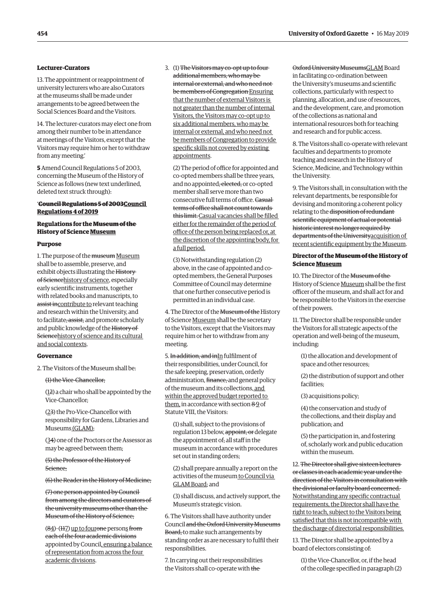# **Lecturer-Curators**

13. The appointment or reappointment of university lecturers who are also Curators at the museums shall be made under arrangements to be agreed between the Social Sciences Board and the Visitors.

14. The lecturer-curators may elect one from among their number to be in attendance at meetings of the Visitors, except that the Visitors may require him or her to withdraw from any meeting.'

**5** Amend Council Regulations 5 of 2003, concerning the Museum of the History of Science as follows (new text underlined, deleted text struck through):

# '**Council Regulations 5 of 2003Council Regulations 4 of 2019**

# **Regulations for the Museum of the History of Science Museum**

#### **Purpose**

1. The purpose of the museum Museum shall be to assemble, preserve, and exhibit objects illustrating the History of Sciencehistory of science, especially early scientific instruments, together with related books and manuscripts, to assist incontribute to relevant teaching and research within the University, and to facilitate, assist, and promote scholarly and public knowledge of the History of Sciencehistory of science and its cultural and social contexts.

# **Governance**

2. The Visitors of the Museum shall be:

(1) the Vice-Chancellor;

(12) a chair who shall be appointed by the Vice-Chancellor;

(23) the Pro-Vice-Chancellor with responsibility for Gardens, Libraries and Museums (GLAM);

(34) one of the Proctors or the Assessor as may be agreed between them;

(5) the Professor of the History of Science;

(6) the Reader in the History of Medicine;

(7) one person appointed by Council from among the directors and curators of the university museums other than the Museum of the History of Science;

(84)–(117) up to fourone persons from each of the four academic divisions appointed by Council, ensuring a balance of representation from across the four academic divisions.

3. (1) The Visitors may co-opt up to four additional members, who may be internal or external, and who need not be members of Congregation Ensuring that the number of external Visitors is not greater than the number of internal Visitors, the Visitors may co-opt up to six additional members, who may be internal or external, and who need not be members of Congregation to provide specific skills not covered by existing appointments.

(2) The period of office for appointed and co-opted members shall be three years, and no appointed, elected, or co-opted member shall serve more than two consecutive full terms of office. Casual terms of office shall not count towards this limit. Casual vacancies shall be filled either for the remainder of the period of office of the person being replaced or, at the discretion of the appointing body, for a full period.

(3) Notwithstanding regulation (2) above, in the case of appointed and coopted members, the General Purposes Committee of Council may determine that one further consecutive period is permitted in an individual case.

4. The Director of the Museum of the History of Science Museum shall be the secretary to the Visitors, except that the Visitors may require him or her to withdraw from any meeting.

5. In addition, and inIn fulfilment of their responsibilities, under Council, for the safe keeping, preservation, orderly administration, finance, and general policy of the museum and its collections, and within the approved budget reported to them, in accordance with section 89 of Statute VIII, the Visitors:

(1) shall, subject to the provisions of regulation 13 below, appoint, or delegate the appointment of, all staff in the museum in accordance with procedures set out in standing orders;

(2) shall prepare annually a report on the activities of the museum to Council via GLAM Board; and

(3) shall discuss, and actively support, the Museum's strategic vision.

6. The Visitors shall have authority under Council and the Oxford University Museums Board, to make such arrangements by standing order as are necessary to fulfil their responsibilities.

7. In carrying out their responsibilities the Visitors shall co-operate with the

Oxford University MuseumsGLAM Board in facilitating co-ordination between the University's museums and scientific collections, particularly with respect to planning, allocation, and use of resources, and the development, care, and promotion of the collections as national and international resources both for teaching and research and for public access.

8. The Visitors shall co-operate with relevant faculties and departments to promote teaching and research in the History of Science, Medicine, and Technology within the University.

9. The Visitors shall, in consultation with the relevant departments, be responsible for devising and monitoring a coherent policy relating to the disposition of redundant scientific equipment of actual or potential historic interest no longer required by departments of the Universityacquisition of recent scientific equipment by the Museum.

# **Director of the Museum of the History of Science Museum**

10. The Director of the Museum of the History of Science Museum shall be the first officer of the museum, and shall act for and be responsible to the Visitors in the exercise of their powers.

11. The Director shall be responsible under the Visitors for all strategic aspects of the operation and well-being of the museum, including:

(1) the allocation and development of space and other resources;

(2) the distribution of support and other facilities;

(3) acquisitions policy;

(4) the conservation and study of the collections, and their display and publication; and

(5) the participation in, and fostering of, scholarly work and public education within the museum.

12. The Director shall give sixteen lectures or classes in each academic year under the direction of the Visitors in consultation with the divisional or faculty board concerned. Notwithstanding any specific contractual requirements, the Director shall have the right to teach, subject to the Visitors being satisfied that this is not incompatible with the discharge of directorial responsibilities.

13. The Director shall be appointed by a board of electors consisting of:

(1) the Vice-Chancellor, or, if the head of the college specified in paragraph (2)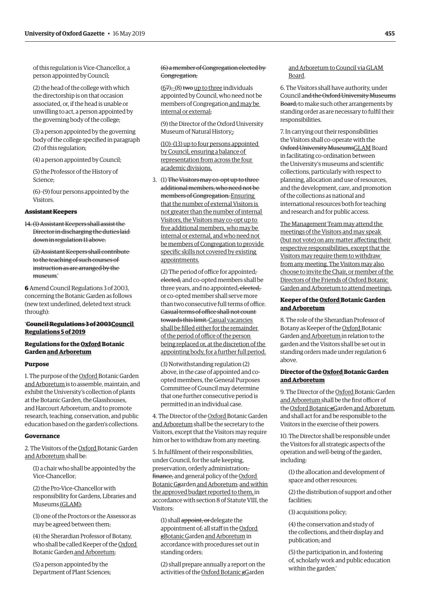of this regulation is Vice-Chancellor, a person appointed by Council;

(2) the head of the college with which the directorship is on that occasion associated, or, if the head is unable or unwilling to act, a person appointed by the governing body of the college;

(3) a person appointed by the governing body of the college specified in paragraph (2) of this regulation;

(4) a person appointed by Council;

(5) the Professor of the History of Science;

(6)–(9) four persons appointed by the Visitors.

#### **Assistant Keepers**

14. (1) Assistant Keepers shall assist the Director in discharging the duties laid down in regulation 11 above.

(2) Assistant Keepers shall contribute to the teaching of such courses of instruction as are arranged by the museum.'

**6** Amend Council Regulations 3 of 2003, concerning the Botanic Garden as follows (new text underlined, deleted text struck through):

# '**Council Regulations 3 of 2003Council Regulations 5 of 2019**

# **Regulations for the Oxford Botanic Garden and Arboretum**

# **Purpose**

1. The purpose of the Oxford Botanic Garden and Arboretum is to assemble, maintain, and exhibit the University's collection of plants at the Botanic Garden, the Glasshouses, and Harcourt Arboretum, and to promote research, teaching, conservation, and public education based on the garden's collections.

#### **Governance**

2. The Visitors of the Oxford Botanic Garden and Arboretum shall be:

(1) a chair who shall be appointed by the Vice-Chancellor;

(2) the Pro-Vice-Chancellor with responsibility for Gardens, Libraries and Museums (GLAM);

(3) one of the Proctors or the Assessor as may be agreed between them;

(4) the Sherardian Professor of Botany, who shall be called Keeper of the Oxford Botanic Garden and Arboretum;

(5) a person appointed by the Department of Plant Sciences; (6) a member of Congregation elected by Congregation;

 $(67)$ ;- $(8)$  two up to three individuals appointed by Council, who need not be members of Congregation and may be internal or external;

(9) the Director of the Oxford University Museum of Natural History;.

(10)–(13) up to four persons appointed by Council, ensuring a balance of representation from across the four academic divisions.

3. (1) The Visitors may co-opt up to three additional members, who need not be members of Congregation. Ensuring that the number of external Visitors is not greater than the number of internal Visitors, the Visitors may co-opt up to five additional members, who may be internal or external, and who need not be members of Congregation to provide specific skills not covered by existing appointments.

(2) The period of office for appointed, elected, and co-opted members shall be three years, and no appointed, elected, or co-opted member shall serve more than two consecutive full terms of office. Casual terms of office shall not count towards this limit. Casual vacancies shall be filled either for the remainder of the period of office of the person being replaced or, at the discretion of the appointing body, for a further full period.

(3) Notwithstanding regulation (2) above, in the case of appointed and coopted members, the General Purposes Committee of Council may determine that one further consecutive period is permitted in an individual case.

4. The Director of the Oxford Botanic Garden and Arboretum shall be the secretary to the Visitors, except that the Visitors may require him or her to withdraw from any meeting.

5. In fulfilment of their responsibilities, under Council, for the safe keeping, preservation, orderly administration, finance, and general policy of the Oxford Botanic Ggarden and Arboretum, and within the approved budget reported to them, in accordance with section 8 of Statute VIII, the Visitors:

(1) shall appoint, or delegate the appointment of, all staff in the Oxford gBotanic Garden and Arboretum in accordance with procedures set out in standing orders;

(2) shall prepare annually a report on the activities of the Oxford Botanic gGarden

# and Arboretum to Council via GLAM Board.

6. The Visitors shall have authority, under Council and the Oxford University Museums Board, to make such other arrangements by standing order as are necessary to fulfil their responsibilities.

7. In carrying out their responsibilities the Visitors shall co-operate with the Oxford University MuseumsGLAM Board in facilitating co-ordination between the University's museums and scientific collections, particularly with respect to planning, allocation and use of resources, and the development, care, and promotion of the collections as national and international resources both for teaching and research and for public access.

The Management Team may attend the meetings of the Visitors and may speak (but not vote) on any matter affecting their respective responsibilities, except that the Visitors may require them to withdraw from any meeting. The Visitors may also choose to invite the Chair, or member of the Directors of the Friends of Oxford Botanic Garden and Arboretum to attend meetings.

# **Keeper of the Oxford Botanic Garden and Arboretum**

8. The role of the Sherardian Professor of Botany as Keeper of the Oxford Botanic Garden and Arboretum in relation to the garden and the Visitors shall be set out in standing orders made under regulation 6 above.

# **Director of the Oxford Botanic Garden and Arboretum**

9. The Director of the Oxford Botanic Garden and Arboretum shall be the first officer of the Oxford Botanic gGarden and Arboretum, and shall act for and be responsible to the Visitors in the exercise of their powers.

10. The Director shall be responsible under the Visitors for all strategic aspects of the operation and well-being of the garden, including:

(1) the allocation and development of space and other resources;

(2) the distribution of support and other facilities;

(3) acquisitions policy;

(4) the conservation and study of the collections, and their display and publication; and

(5) the participation in, and fostering of, scholarly work and public education within the garden.'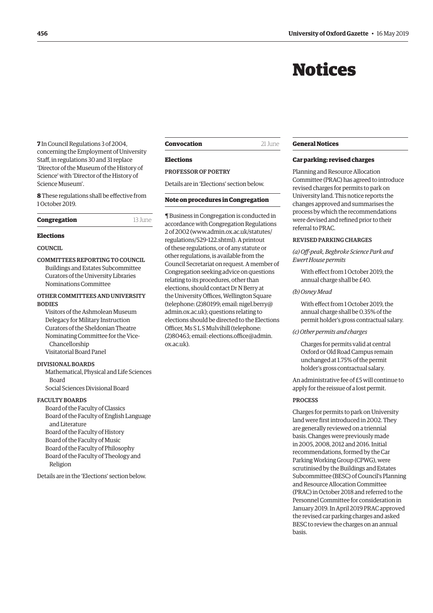# Notices

<span id="page-13-0"></span>**7** In Council Regulations 3 of 2004, concerning the Employment of University Staff, in regulations 30 and 31 replace 'Director of the Museum of the History of Science' with 'Director of the History of Science Museum'.

**8** These regulations shall be effective from 1 October 2019.

| Congregation | 13 June |
|--------------|---------|
|--------------|---------|

# **Elections**

# **COUNCIL**

COMMITTEES REPORTING TO COUNCIL Buildings and Estates Subcommittee Curators of the University Libraries Nominations Committee

# OTHER COMMITTEES AND UNIVERSITY **BODIES**

Visitors of the Ashmolean Museum Delegacy for Military Instruction Curators of the Sheldonian Theatre Nominating Committee for the Vice-Chancellorship Visitatorial Board Panel

# DIVISIONAL BOARDS

Mathematical, Physical and Life Sciences Board Social Sciences Divisional Board

#### FACULTY BOARDS

Board of the Faculty of Classics Board of the Faculty of English Language and Literature Board of the Faculty of History Board of the Faculty of Music Board of the Faculty of Philosophy Board of the Faculty of Theology and Religion

Details are in the 'Elections' section below.

# **Convocation** 21 June

#### **Elections**

# PROFESSOR OF POETRY

Details are in 'Elections' section below.

#### **Note on procedures in Congregation**

¶ Business in Congregation is conducted in accordance with Congregation Regulations [2 of 2002 \(www.admin.ox.ac.uk/statutes/](www.admin.ox.ac.uk/statutes/regulations/529-122.shtml) regulations/529-122.shtml). A printout of these regulations, or of any statute or other regulations, is available from the Council Secretariat on request. A member of Congregation seeking advice on questions relating to its procedures, other than elections, should contact Dr N Berry at the University Offices, Wellington Square [\(telephone: \(2\)80199; email: nigel.berry@](mailto:nigel.berry@admin.ox.ac.uk) admin.ox.ac.uk); questions relating to elections should be directed to the Elections Officer, Ms S L S Mulvihill (telephone: [\(2\)80463; email: elections.office@admin.](mailto:elections.office@admin.ox.ac.uk) ox.ac.uk).

# **General Notices**

# **Car parking: revised charges**

Planning and Resource Allocation Committee (PRAC) has agreed to introduce revised charges for permits to park on University land. This notice reports the changes approved and summarises the process by which the recommendations were devised and refined prior to their referral to PRAC.

#### REVISED PARKING CHARGES

*(a) Off-peak, Begbroke Science Park and Ewert House permits*

With effect from 1 October 2019, the annual charge shall be £40.

#### *(b) Osney Mead*

With effect from 1 October 2019, the annual charge shall be 0.35% of the permit holder's gross contractual salary.

*(c) Other permits and charges*

Charges for permits valid at central Oxford or Old Road Campus remain unchanged at 1.75% of the permit holder's gross contractual salary.

An administrative fee of £5 will continue to apply for the reissue of a lost permit.

#### PROCESS

Charges for permits to park on University land were first introduced in 2002. They are generally reviewed on a triennial basis. Changes were previously made in 2005, 2008, 2012 and 2016. Initial recommendations, formed by the Car Parking Working Group (CPWG), were scrutinised by the Buildings and Estates Subcommittee (BESC) of Council's Planning and Resource Allocation Committee (PRAC) in October 2018 and referred to the Personnel Committee for consideration in January 2019. In April 2019 PRAC approved the revised car parking charges and asked BESC to review the charges on an annual basis.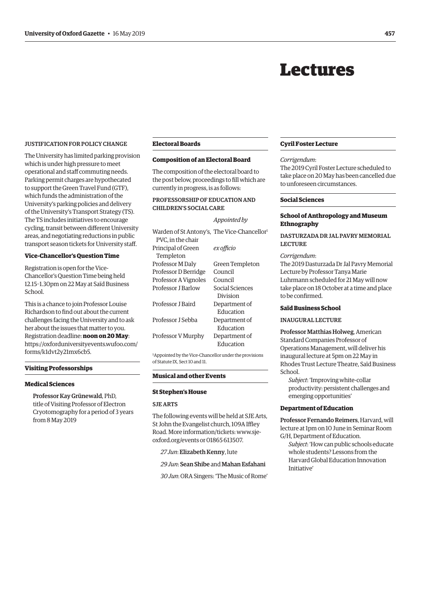# Lectures

# <span id="page-14-0"></span>JUSTIFICATION FOR POLICY CHANGE

The University has limited parking provision which is under high pressure to meet operational and staff commuting needs. Parking permit charges are hypothecated to support the Green Travel Fund (GTF), which funds the administration of the University's parking policies and delivery of the University's Transport Strategy (TS). The TS includes initiatives to encourage cycling, transit between different University areas, and negotiating reductions in public transport season tickets for University staff.

#### **Vice-Chancellor's Question Time**

Registration is open for the Vice-Chancellor's Question Time being held 12.15–1.30pm on 22 May at Saïd Business School.

This is a chance to join Professor Louise Richardson to find out about the current challenges facing the University and to ask her about the issues that matter to you. Registration deadline: **noon on 20 May**: [https://oxforduniversityevents.wufoo.com/](https://oxforduniversityevents.wufoo.com/forms/k1dvt2y21mx6cb5) forms/k1dvt2y21mx6cb5.

# **Visiting Professorships**

#### **Medical Sciences**

Professor Kay Grünewald, PhD, title of Visiting Professor of Electron Cryotomography for a period of 3 years from 8 May 2019

# **Electoral Boards**

# **Composition of an Electoral Board**

The composition of the electoral board to the post below, proceedings to fill which are currently in progress, is as follows:

# PROFESSORSHIP OF EDUCATION AND CHILDREN'S SOCIAL CARE

#### *Appointed by*

| Warden of St Antony's, The Vice-Chancellor |                 |
|--------------------------------------------|-----------------|
| PVC, in the chair                          |                 |
| Principal of Green                         | ex officio      |
| Templeton                                  |                 |
| Professor M Daly                           | Green Templeton |
| Professor D Berridge                       | Council         |
| Professor A Vignoles                       | Council         |
| Professor I Barlow                         | Social Sciences |
|                                            | Division        |
| Professor I Baird                          | Department of   |
|                                            | Education       |
| Professor I Sebba                          | Department of   |
|                                            | Education       |
| Professor V Murphy                         | Department of   |
|                                            | Education       |
|                                            |                 |

1Appointed by the Vice-Chancellor under the provisions of Statute IX, Sect 10 and 11.

## **Musical and other Events**

#### **St Stephen's House**

#### SJE ARTS

The following events will be held at SJE Arts, St John the Evangelist church, 109A Iffley Road. More information/tickets: [www.sje](http://www.sje-oxford.org/events)[oxford.org/events](http://www.sje-oxford.org/events) or 01865 613507.

*27 Jun*: Elizabeth Kenny, lute

#### *29 Jun*: Sean Shibe and Mahan Esfahani

*30 Jun*: ORA Singers: 'The Music of Rome'

#### **Cyril Foster Lecture**

#### *Corrigendum*:

The 2019 Cyril Foster Lecture scheduled to take place on 20 May has been cancelled due to unforeseen circumstances.

#### **Social Sciences**

## **School of Anthropology and Museum Ethnography**

# DASTURZADA DR JAL PAVRY MEMORIAL **LECTURE**

#### *Corrigendum*:

The 2019 Dasturzada Dr Jal Pavry Memorial Lecture by Professor Tanya Marie Luhrmann scheduled for 21 May will now take place on 18 October at a time and place to be confirmed.

#### **Saïd Business School**

#### INAUGURAL LECTURE

Professor Matthias Holweg, American Standard Companies Professor of Operations Management, will deliver his inaugural lecture at 5pm on 22 May in Rhodes Trust Lecture Theatre, Saïd Business School.

*Subject*: 'Improving white-collar productivity: persistent challenges and emerging opportunities'

#### **Department of Education**

Professor Fernando Reimers, Harvard, will lecture at 1pm on 10 June in Seminar Room G/H, Department of Education.

*Subject*: 'How can public schools educate whole students? Lessons from the Harvard Global Education Innovation Initiative'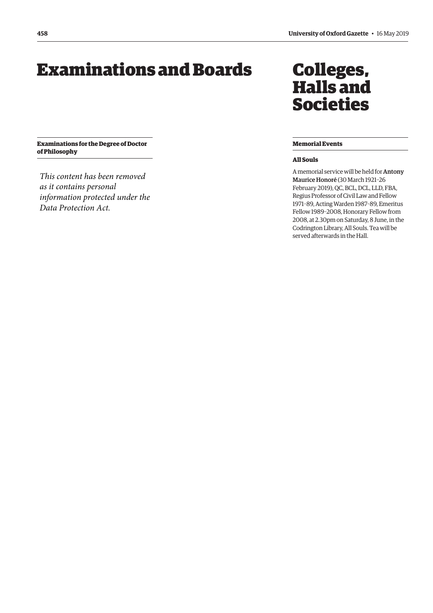# <span id="page-15-0"></span>Examinations and Boards

**Examinations for the Degree of Doctor of Philosophy**

*This content has been removed as it contains personal information protected under the Data Protection Act.*

# Colleges, Halls and Societies

# **Memorial Events**

# **All Souls**

A memorial service will be held for Antony Maurice Honoré (30 March 1921–26 February 2019), QC, BCL, DCL, LLD, FBA, Regius Professor of Civil Law and Fellow 1971–89, Acting Warden 1987–89, Emeritus Fellow 1989–2008, Honorary Fellow from 2008, at 2.30pm on Saturday, 8 June, in the Codrington Library, All Souls. Tea will be served afterwards in the Hall.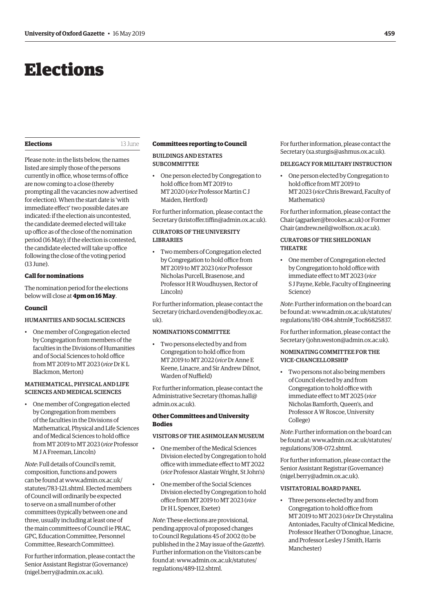# <span id="page-16-0"></span>Elections

# **Elections** 13 June

Please note: in the lists below, the names listed are simply those of the persons currently in office, whose terms of office are now coming to a close (thereby prompting all the vacancies now advertised for election). When the start date is 'with immediate effect' two possible dates are indicated: if the election ais uncontested, the candidate deemed elected will take up office as of the close of the nomination period (16 May); if the election is contested, the candidate elected will take up office following the close of the voting period (13 June).

# **Call for nominations**

The nomination period for the elections below will close at **4pm on 16 May**.

#### **Council**

# HUMANITIES AND SOCIAL SCIENCES

• One member of Congregation elected by Congregation from members of the faculties in the Divisions of Humanities and of Social Sciences to hold office from MT 2019 to MT 2023 (*vice* Dr K L Blackmon, Merton)

# MATHEMATICAL, PHYSICAL AND LIFE SCIENCES AND MEDICAL SCIENCES

• One member of Congregation elected by Congregation from members of the faculties in the Divisions of Mathematical, Physical and Life Sciences and of Medical Sciences to hold office from MT 2019 to MT 2023 (*vice* Professor M J A Freeman, Lincoln)

*Note*: Full details of Council's remit, composition, functions and powers can be found at [www.admin.ox.ac.uk/](http://www.admin.ox.ac.uk/statutes/783-121.shtml) [statutes/783-121.shtml.](http://www.admin.ox.ac.uk/statutes/783-121.shtml) Elected members of Council will ordinarily be expected to serve on a small number of other committees (typically between one and three, usually including at least one of the main committees of Council ie PRAC, GPC, Education Committee, Personnel Committee, Research Committee).

For further information, please contact the Senior Assistant Registrar (Governance) [\(nigel.berry@admin.ox.ac.uk\)](mailto:nigel.berry@admin.ox.ac.uk).

#### **Committees reporting to Council**

BUILDINGS AND ESTATES **SUBCOMMITTEE** 

• One person elected by Congregation to hold office from MT 2019 to MT 2020 (*vice* Professor Martin C J Maiden, Hertford)

For further information, please contact the Secretary [\(kristoffer.tiffin@admin.ox.ac.uk](mailto:kristoffer.tiffin@admin.ox.ac.uk)).

# CURATORS OF THE UNIVERSITY LIBRARIES

• Two members of Congregation elected by Congregation to hold office from MT 2019 to MT 2023 (*vice* Professor Nicholas Purcell, Brasenose, and Professor H R Woudhuysen, Rector of Lincoln)

For further information, please contact the Secretary [\(richard.ovenden@bodley.ox.ac.](mailto:richard.ovenden@bodley.ox.ac.uk) [uk](mailto:richard.ovenden@bodley.ox.ac.uk)).

# NOMINATIONS COMMITTEE

• Two persons elected by and from Congregation to hold office from MT 2019 to MT 2022 (*vice* Dr Anne E Keene, Linacre, and Sir Andrew Dilnot, Warden of Nuffield)

For further information, please contact the Administrative Secretary [\(thomas.hall@](mailto:thomas.hall@admin.ox.ac.uk) [admin.ox.ac.uk\)](mailto:thomas.hall@admin.ox.ac.uk).

# **Other Committees and University Bodies**

# VISITORS OF THE ASHMOLEAN MUSEUM

- One member of the Medical Sciences Division elected by Congregation to hold office with immediate effect to MT 2022 (*vice* Professor Alastair Wright, St John's)
- One member of the Social Sciences Division elected by Congregation to hold office from MT 2019 to MT 2023 (*vice* Dr H L Spencer, Exeter)

*Note*: These elections are provisional, pending approval of proposed changes to Council Regulations 45 of 2002 (to be published in the 2 May issue of the *Gazette*). Further information on the Visitors can be found at: [www.admin.ox.ac.uk/statutes/](http://www.admin.ox.ac.uk/statutes/regulations/489-112.shtml) [regulations/489-112.shtml.](http://www.admin.ox.ac.uk/statutes/regulations/489-112.shtml)

For further information, please contact the Secretary [\(xa.sturgis@ashmus.ox.ac.uk\)](mailto:xa.sturgis@ashmus.ox.ac.uk).

#### DELEGACY FOR MILITARY INSTRUCTION

• One person elected by Congregation to hold office from MT 2019 to MT 2023 (*vice* Chris Breward, Faculty of Mathematics)

For further information, please contact the Chair [\(agparker@brookes.ac.uk](mailto:agparker@brookes.ac.uk)) or Former Chair [\(andrew.neil@wolfson.ox.ac.uk](mailto:andrew.neil@wolfson.ox.ac.uk)).

# CURATORS OF THE SHELDONIAN THEATRE

• One member of Congregation elected by Congregation to hold office with immediate effect to MT 2023 (*vice* S J Payne, Keble, Faculty of Engineering Science)

*Note*: Further information on the board can be found at: [www.admin.ox.ac.uk/statutes/](http://www.admin.ox.ac.uk/statutes/regulations/181-084.shtml#_Toc86825837) [regulations/181-084.shtml#\\_Toc86825837.](http://www.admin.ox.ac.uk/statutes/regulations/181-084.shtml#_Toc86825837)

For further information, please contact the Secretary [\(john.weston@admin.ox.ac.uk\)](mailto:john.weston@admin.ox.ac.uk).

# NOMINATING COMMITTEE FOR THE VICE-CHANCELLORSHIP

• Two persons not also being members of Council elected by and from Congregation to hold office with immediate effect to MT 2025 (*vice* Nicholas Bamforth, Queen's, and Professor A W Roscoe, University College)

*Note*: Further information on the board can be found at: [www.admin.ox.ac.uk/statutes/](http://www.admin.ox.ac.uk/statutes/regulations/308-072.shtml) [regulations/308-072.shtml.](http://www.admin.ox.ac.uk/statutes/regulations/308-072.shtml)

For further information, please contact the Senior Assistant Registrar (Governance) [\(nigel.berry@admin.ox.ac.uk](mailto:nigel.berry@admin.ox.ac.uk)).

#### VISITATORIAL BOARD PANEL

• Three persons elected by and from Congregation to hold office from MT 2019 to MT 2023 (*vice* Dr Chrystalina Antoniades, Faculty of Clinical Medicine, Professor Heather O'Donoghue, Linacre, and Professor Lesley J Smith, Harris Manchester)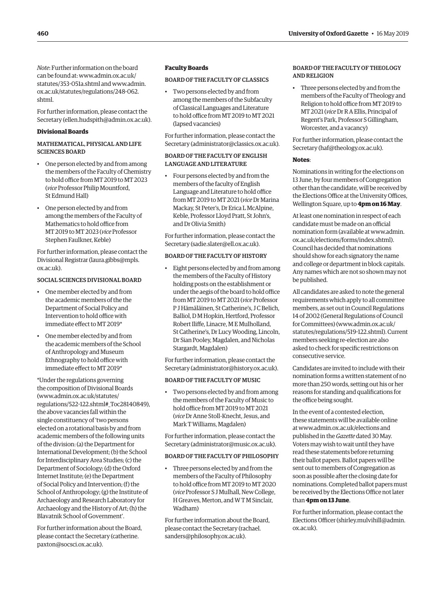*Note*: Further information on the board can be found at: [www.admin.ox.ac.uk/](http://www.admin.ox.ac.uk/statutes/353-051a.shtml) [statutes/353-051a.shtml](http://www.admin.ox.ac.uk/statutes/353-051a.shtml) and [www.admin.](http://www.admin.ox.ac.uk/statutes/regulations/248-062.shtml) [ox.ac.uk/statutes/regulations/248-062.](http://www.admin.ox.ac.uk/statutes/regulations/248-062.shtml) [shtml.](http://www.admin.ox.ac.uk/statutes/regulations/248-062.shtml)

For further information, please contact the Secretary [\(ellen.hudspith@admin.ox.ac.uk](mailto:ellen.hudspith@admin.ox.ac.uk)).

# **Divisional Boards**

# MATHEMATICAL, PHYSICAL AND LIFE SCIENCES BOARD

- One person elected by and from among the members of the Faculty of Chemistry to hold office from MT 2019 to MT 2023 (*vice* Professor Philip Mountford, St Edmund Hall)
- One person elected by and from among the members of the Faculty of Mathematics to hold office from MT 2019 to MT 2023 (*vice* Professor Stephen Faulkner, Keble)

For further information, please contact the Divisional Registrar [\(laura.gibbs@mpls.](mailto:laura.gibbs@mpls.ox.ac.uk) [ox.ac.uk\)](mailto:laura.gibbs@mpls.ox.ac.uk).

# SOCIAL SCIENCES DIVISIONAL BOARD

- One member elected by and from the academic members of the the Department of Social Policy and Intervention to hold office with immediate effect to MT 2019\*
- One member elected by and from the academic members of the School of Anthropology and Museum Ethnography to hold office with immediate effect to MT 2019\*

\*Under the regulations governing the composition of Divisional Boards ([www.admin.ox.ac.uk/statutes/](http://www.admin.ox.ac.uk/statutes/regulations/522-122.shtml#_Toc28140849) [regulations/522-122.shtml#\\_Toc28140849\),](http://www.admin.ox.ac.uk/statutes/regulations/522-122.shtml#_Toc28140849) the above vacancies fall within the single constituency of 'two persons elected on a rotational basis by and from academic members of the following units of the division: (a) the Department for International Development; (b) the School for Interdisciplinary Area Studies; (c) the Department of Sociology; (d) the Oxford Internet Institute; (e) the Department of Social Policy and Intervention; (f) the School of Anthropology; (g) the Institute of Archaeology and Research Laboratory for Archaeology and the History of Art; (h) the Blavatnik School of Government'.

For further information about the Board, please contact the Secretary [\(catherine.](mailto:catherine.paxton@socsci.ox.ac.uk) [paxton@socsci.ox.ac.uk](mailto:catherine.paxton@socsci.ox.ac.uk)).

# **Faculty Boards**

# BOARD OF THE FACULTY OF CLASSICS

• Two persons elected by and from among the members of the Subfaculty of Classical Languages and Literature to hold office from MT 2019 to MT 2021 (lapsed vacancies)

For further information, please contact the Secretary [\(administrator@classics.ox.ac.uk](mailto:administrator@classics.ox.ac.uk)).

# BOARD OF THE FACULTY OF ENGLISH LANGUAGE AND LITERATURE

• Four persons elected by and from the members of the faculty of English Language and Literature to hold office from MT 2019 to MT 2021 (*vice* Dr Marina Mackay, St Peter's, Dr Erica L McAlpine, Keble, Professor Lloyd Pratt, St John's, and Dr Olivia Smith)

For further information, please contact the Secretary [\(sadie.slater@ell.ox.ac.uk](mailto:sadie.slater@ell.ox.ac.uk)).

# BOARD OF THE FACULTY OF HISTORY

• Eight persons elected by and from among the members of the Faculty of History holding posts on the establishment or under the aegis of the board to hold office from MT 2019 to MT 2021 (*vice* Professor P J Hämäläinen, St Catherine's, J C Belich, Balliol, D M Hopkin, Hertford, Professor Robert Iliffe, Linacre, M E Mulholland, St Catherine's, Dr Lucy Wooding, Lincoln, Dr Sian Pooley, Magdalen, and Nicholas Stargardt, Magdalen)

For further information, please contact the Secretary [\(administrator@history.ox.ac.uk](mailto:administrator@history.ox.ac.uk)).

# BOARD OF THE FACULTY OF MUSIC

• Two persons elected by and from among the members of the Faculty of Music to hold office from MT 2019 to MT 2021 (*vice* Dr Anne Stoll-Knecht, Jesus, and Mark T Williams, Magdalen)

For further information, please contact the Secretary [\(administrator@music.ox.ac.uk](mailto:administrator@music.ox.ac.uk)).

## BOARD OF THE FACULTY OF PHILOSOPHY

• Three persons elected by and from the members of the Faculty of Philosophy to hold office from MT 2019 to MT 2020 (*vice* Professor S J Mulhall, New College, H Greaves, Merton, and W T M Sinclair, Wadham)

For further information about the Board, please contact the Secretary [\(rachael.](mailto:rachael.sanders@philosophy.ox.ac.uk) [sanders@philosophy.ox.ac.uk](mailto:rachael.sanders@philosophy.ox.ac.uk)).

# BOARD OF THE FACULTY OF THEOLOGY AND RELIGION

• Three persons elected by and from the members of the Faculty of Theology and Religion to hold office from MT 2019 to MT 2021 (*vice* Dr R A Ellis, Principal of Regent's Park, Professor S Gillingham, Worcester, and a vacancy)

For further information, please contact the Secretary [\(haf@theology.ox.ac.uk\)](mailto:haf@theology.ox.ac.uk).

#### **Notes**:

Nominations in writing for the elections on 13 June, by four members of Congregation other than the candidate, will be received by the Elections Office at the University Offices, Wellington Square, up to **4pm on 16 May**.

At least one nomination in respect of each candidate must be made on an official nomination form (available at [www.admin.](http://www.admin.ox.ac.uk/elections/forms/index.shtml) [ox.ac.uk/elections/forms/index.shtml\).](http://www.admin.ox.ac.uk/elections/forms/index.shtml) Council has decided that nominations should show for each signatory the name and college or department in block capitals. Any names which are not so shown may not be published.

All candidates are asked to note the general requirements which apply to all committee members, as set out in Council Regulations 14 of 2002 (General Regulations of Council for Committees) ([www.admin.ox.ac.uk/](http://www.admin.ox.ac.uk/statutes/regulations/519-122.shtml) [statutes/regulations/519-122.shtml\).](http://www.admin.ox.ac.uk/statutes/regulations/519-122.shtml) Current members seeking re-election are also asked to check for specific restrictions on consecutive service.

Candidates are invited to include with their nomination forms a written statement of no more than 250 words, setting out his or her reasons for standing and qualifications for the office being sought.

In the event of a contested election, these statements will be available online at [www.admin.ox.ac.uk/elections](http://www.admin.ox.ac.uk/elections) and published in the *Gazette* dated 30 May. Voters may wish to wait until they have read these statements before returning their ballot papers. Ballot papers will be sent out to members of Congregation as soon as possible after the closing date for nominations. Completed ballot papers must be received by the Elections Office not later than **4pm on 13 June**.

For further information, please contact the Elections Officer [\(shirley.mulvihill@admin.](mailto:shirley.mulvihill@admin.ox.ac.uk) [ox.ac.uk](mailto:shirley.mulvihill@admin.ox.ac.uk)).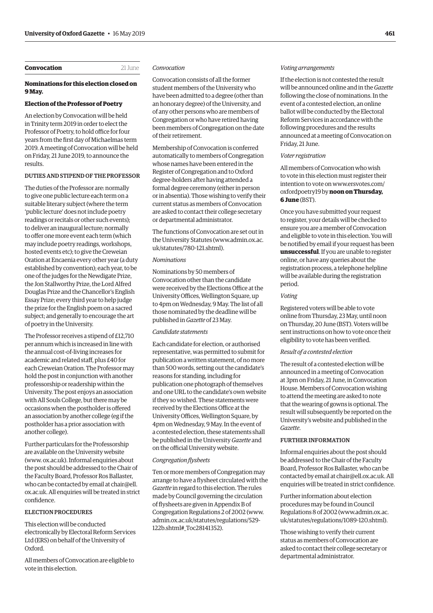# <span id="page-18-0"></span>**Convocation** 21 June

**9 May.**

# **Nominations for this election closed on**

# **Election of the Professor of Poetry**

An election by Convocation will be held in Trinity term 2019 in order to elect the Professor of Poetry, to hold office for four years from the first day of Michaelmas term 2019. A meeting of Convocation will be held on Friday, 21 June 2019, to announce the results.

# DUTIES AND STIPEND OF THE PROFESSOR

The duties of the Professor are: normally to give one public lecture each term on a suitable literary subject (where the term 'public lecture' does not include poetry readings or recitals or other such events); to deliver an inaugural lecture; normally to offer one more event each term (which may include poetry readings, workshops, hosted events etc); to give the Creweian Oration at Encaenia every other year (a duty established by convention); each year, to be one of the judges for the Newdigate Prize, the Jon Stallworthy Prize, the Lord Alfred Douglas Prize and the Chancellor's English Essay Prize; every third year to help judge the prize for the English poem on a sacred subject; and generally to encourage the art of poetry in the University.

The Professor receives a stipend of £12,710 per annum which is increased in line with the annual cost-of-living increases for academic and related staff, plus £40 for each Creweian Oration. The Professor may hold the post in conjunction with another professorship or readership within the University. The post enjoys an association with All Souls College, but there may be occasions when the postholder is offered an association by another college (eg if the postholder has a prior association with another college).

Further particulars for the Professorship are available on the University website (www. [ox.ac.uk\)](http://ox.ac.uk). Informal enquiries about the post should be addressed to the Chair of the Faculty Board, Professor Ros Ballaster, who can be contacted by email at chair@ell. [ox.ac.uk](http://ox.ac.uk)[. All enquiries will be treated in strict](mailto:chair@ell.ox.ac.uk)  confidence.

# ELECTION PROCEDURES

This election will be conducted electronically by Electoral Reform Services Ltd (ERS) on behalf of the University of Oxford.

All members of Convocation are eligible to vote in this election.

## *Convocation*

Convocation consists of all the former student members of the University who have been admitted to a degree (other than an honorary degree) of the University, and of any other persons who are members of Congregation or who have retired having been members of Congregation on the date of their retirement.

Membership of Convocation is conferred automatically to members of Congregation whose names have been entered in the Register of Congregation and to Oxford degree-holders after having attended a formal degree ceremony (either in person or in absentia). Those wishing to verify their current status as members of Convocation are asked to contact their college secretary or departmental administrator.

The functions of Convocation are set out in the University Statutes ([www.admin.ox.ac.](http://www.admin.ox.ac. uk/statutes/780-121.shtml) uk/statutes/780-121.shtml).

# *Nominations*

Nominations by 50 members of Convocation other than the candidate were received by the Elections Office at the University Offices, Wellington Square, up to 4pm on Wednesday, 9 May. The list of all those nominated by the deadline will be published in *Gazette* of 23 May.

#### *Candidate statements*

Each candidate for election, or authorised representative, was permitted to submit for publication a written statement, of no more than 500 words, setting out the candidate's reasons for standing, including for publication one photograph of themselves and one URL to the candidate's own website if they so wished. These statements were received by the Elections Office at the University Offices, Wellington Square, by 4pm on Wednesday, 9 May. In the event of a contested election, these statements shall be published in the University *Gazette* and on the official University website.

#### *Congregation flysheets*

Ten or more members of Congregation may arrange to have a flysheet circulated with the *Gazette* in regard to this election. The rules made by Council governing the circulation of flysheets are given in Appendix B of Congregation Regulations 2 of 2002 ([www.](http://www.admin.ox.ac.uk/statutes/regulations/529-122b.shtml#_Toc28141352).) [admin.ox.ac.uk/statutes/regulations/529-](http://www.admin.ox.ac.uk/statutes/regulations/529-122b.shtml#_Toc28141352).) [122b.shtml#\\_Toc28141352\).](http://www.admin.ox.ac.uk/statutes/regulations/529-122b.shtml#_Toc28141352).)

#### *Voting arrangements*

If the election is not contested the result will be announced online and in the *Gazette* following the close of nominations. In the event of a contested election, an online ballot will be conducted by the Electoral Reform Services in accordance with the following procedures and the results announced at a meeting of Convocation on Friday, 21 June.

#### *Voter registration*

All members of Convocation who wish to vote in this election must register their intention to vote on [www.ersvotes.com/](http://www.ersvotes.com/) oxfordpoetry19 by **noon on Thursday, 6 June** (BST).

Once you have submitted your request to register, your details will be checked to ensure you are a member of Convocation and eligible to vote in this election. You will be notified by email if your request has been **unsuccessful**. If you are unable to register online, or have any queries about the registration process, a telephone helpline will be available during the registration period.

#### *Voting*

Registered voters will be able to vote online from Thursday, 23 May, until noon on Thursday, 20 June (BST). Voters will be sent instructions on how to vote once their eligibility to vote has been verified.

#### *Result of a contested election*

The result of a contested election will be announced in a meeting of Convocation at 3pm on Friday, 21 June, in Convocation House. Members of Convocation wishing to attend the meeting are asked to note that the wearing of gowns is optional. The result will subsequently be reported on the University's website and published in the *Gazette*.

#### FURTHER INFORMATION

Informal enquiries about the post should be addressed to the Chair of the Faculty Board, Professor Ros Ballaster, who can be contacted by email at [chair@ell.ox.ac.uk](mailto:chair@ell.ox.ac.uk). All enquiries will be treated in strict confidence.

Further information about election procedures may be found in Council [Regulations 8 of 2002 \(www.admin.ox.ac.](www.admin.ox.ac.uk/statutes/regulations/1089-120.shtml)  uk/statutes/regulations/1089-120.shtml).

Those wishing to verify their current status as members of Convocation are asked to contact their college secretary or departmental administrator.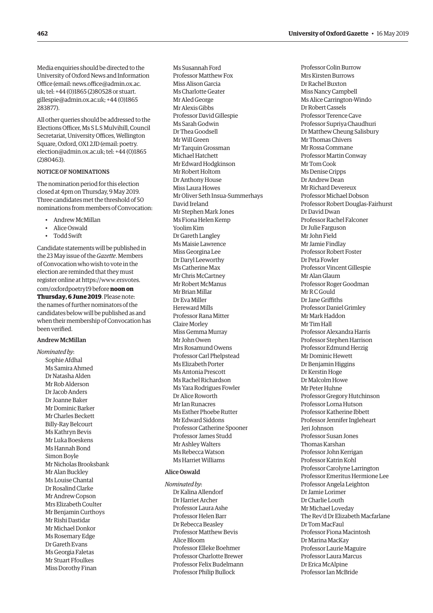Media enquiries should be directed to the University of Oxford News and Information [Office \(email: news.office@admin.ox.ac.](mailto:news.office@admin.ox.ac.uk)  uk; tel: +44 (0)1865 (2)80528 or stuart. [gillespie@admin.ox.ac.uk;](mailto:gillespie@admin.ox.ac.uk) +44 (0)1865 283877).

All other queries should be addressed to the Elections Officer, Ms S L S Mulvihill, Council Secretariat, University Offices, Wellington Square, Oxford, OX1 2JD (email: poetry. [election@admin.ox.ac.uk; tel: +44 \(0\)1865](mailto:poetry.election@admin.ox.ac.uk)  (2)80463).

# NOTICE OF NOMINATIONS

The nomination period for this election closed at 4pm on Thursday, 9 May 2019. Three candidates met the threshold of 50 nominations from members of Convocation:

- Andrew McMillan
- Alice Oswald
- Todd Swift

Candidate statements will be published in the 23 May issue of the *Gazette*. Members of Convocation who wish to vote in the election are reminded that they must register online at https://www.[ersvotes.](http://www.ersvotes.com/oxfordpoetry19) [com/oxfordpoetry19](http://www.ersvotes.com/oxfordpoetry19) before **noon on Thursday, 6 June 2019**. Please note: the names of further nominators of the candidates below will be published as and when their membership of Convocation has been verified.

# Andrew McMillan

*Nominated by*: Sophie Afdhal Ms Samira Ahmed Dr Natasha Alden Mr Rob Alderson Dr Jacob Anders Dr Joanne Baker Mr Dominic Barker Mr Charles Beckett Billy-Ray Belcourt Ms Kathryn Bevis Mr Luka Boeskens Ms Hannah Bond Simon Boyle Mr Nicholas Brooksbank Mr Alan Buckley Ms Louise Chantal Dr Rosalind Clarke Mr Andrew Copson Mrs Elizabeth Coulter Mr Benjamin Curthoys Mr Rishi Dastidar Mr Michael Donkor Ms Rosemary Edge Dr Gareth Evans Ms Georgia Faletas Mr Stuart Ffoulkes Miss Dorothy Finan

Ms Susannah Ford Professor Matthew Fox Miss Alison Garcia Ms Charlotte Geater Mr Aled George Mr Alexis Gibbs Professor David Gillespie Ms Sarah Godwin Dr Thea Goodsell Mr Will Green Mr Tarquin Grossman Michael Hatchett Mr Edward Hodgkinson Mr Robert Holtom Dr Anthony House Miss Laura Howes Mr Oliver Seth Insua-Summerhays David Ireland Mr Stephen Mark Jones Ms Fiona Helen Kemp Yoolim Kim Dr Gareth Langley Ms Maisie Lawrence Miss Georgina Lee Dr Daryl Leeworthy Ms Catherine Max Mr Chris McCartney Mr Robert McManus Mr Brian Millar Dr Eva Miller Hereward Mills Professor Rana Mitter Claire Morley Miss Gemma Murray Mr John Owen Mrs Rosamund Owens Professor Carl Phelpstead Ms Elizabeth Porter Ms Antonia Prescott Ms Rachel Richardson Ms Yara Rodrigues Fowler Dr Alice Roworth Mr Ian Runacres Ms Esther Phoebe Rutter Mr Edward Siddons Professor Catherine Spooner Professor James Studd Mr Ashley Walters Ms Rebecca Watson Ms Harriet Williams

# Alice Oswald

*Nominated by*: Dr Kalina Allendorf Dr Harriet Archer Professor Laura Ashe Professor Helen Barr Dr Rebecca Beasley Professor Matthew Bevis Alice Bloom Professor Elleke Boehmer Professor Charlotte Brewer Professor Felix Budelmann Professor Philip Bullock

Professor Colin Burrow Mrs Kirsten Burrows Dr Rachel Buxton Miss Nancy Campbell Ms Alice Carrington-Windo Dr Robert Cassels Professor Terence Cave Professor Supriya Chaudhuri Dr Matthew Cheung Salisbury Mr Thomas Chivers Mr Rossa Commane Professor Martin Conway Mr Tom Cook Ms Denise Cripps Dr Andrew Dean Mr Richard Devereux Professor Michael Dobson Professor Robert Douglas-Fairhurst Dr David Dwan Professor Rachel Falconer Dr Julie Farguson Mr John Field Mr Jamie Findlay Professor Robert Foster Dr Peta Fowler Professor Vincent Gillespie Mr Alan Glaum Professor Roger Goodman Mr R C Gould Dr Jane Griffiths Professor Daniel Grimley Mr Mark Haddon Mr Tim Hall Professor Alexandra Harris Professor Stephen Harrison Professor Edmund Herzig Mr Dominic Hewett Dr Benjamin Higgins Dr Kerstin Hoge Dr Malcolm Howe Mr Peter Huhne Professor Gregory Hutchinson Professor Lorna Hutson Professor Katherine Ibbett Professor Jennifer Ingleheart Jeri Johnson Professor Susan Jones Thomas Karshan Professor John Kerrigan Professor Katrin Kohl Professor Carolyne Larrington Professor Emeritus Hermione Lee Professor Angela Leighton Dr Jamie Lorimer Dr Charlie Louth Mr Michael Loveday The Rev'd Dr Elizabeth Macfarlane Dr Tom MacFaul Professor Fiona Macintosh Dr Marina MacKay Professor Laurie Maguire Professor Laura Marcus Dr Erica McAlpine Professor Ian McBride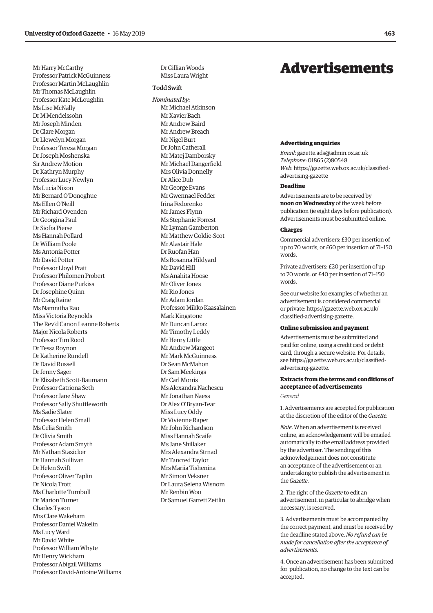<span id="page-20-0"></span>Mr Harry McCarthy Professor Patrick McGuinness Professor Martin McLaughlin Mr Thomas McLaughlin Professor Kate McLoughlin Ms Lise McNally Dr M Mendelssohn Mr Joseph Minden Dr Clare Morgan Dr Llewelyn Morgan Professor Teresa Morgan Dr Joseph Moshenska Sir Andrew Motion Dr Kathryn Murphy Professor Lucy Newlyn Ms Lucia Nixon Mr Bernard O'Donoghue Ms Ellen O'Neill Mr Richard Ovenden Dr Georgina Paul Dr Siofra Pierse Ms Hannah Pollard Dr William Poole Ms Antonia Potter Mr David Potter Professor Lloyd Pratt Professor Philomen Probert Professor Diane Purkiss Dr Josephine Quinn Mr Craig Raine Ms Namratha Rao Miss Victoria Reynolds The Rev'd Canon Leanne Roberts Major Nicola Roberts Professor Tim Rood Dr Tessa Roynon Dr Katherine Rundell Dr David Russell Dr Jenny Sager Dr Elizabeth Scott-Baumann Professor Catriona Seth Professor Jane Shaw Professor Sally Shuttleworth Ms Sadie Slater Professor Helen Small Ms Celia Smith Dr Olivia Smith Professor Adam Smyth Mr Nathan Stazicker Dr Hannah Sullivan Dr Helen Swift Professor Oliver Taplin Dr Nicola Trott Ms Charlotte Turnbull Dr Marion Turner Charles Tyson Mrs Clare Wakeham Professor Daniel Wakelin Ms Lucy Ward Mr David White Professor William Whyte Mr Henry Wickham Professor Abigail Williams Professor David-Antoine Williams Dr Gillian Woods Miss Laura Wright

# Todd Swift

*Nominated by* : Mr Michael Atkinson Mr Xavier Bach Mr Andrew Baird Mr Andrew Breach Mr Nigel Burt Dr John Catherall Mr Matej Damborsky Mr Michael Dangerfield Mrs Olivia Donnelly Dr Alice Dub Mr George Evans Mr Gwennael Fedder Irina Fedorenko Mr James Flynn Ms Stephanie Forrest Mr Lyman Gamberton Mr Matthew Goldie-Scot Mr Alastair Hale Dr Ruofan Han Ms Rosanna Hildyard Mr David Hill Ms Anahita Hoose Mr Oliver Jones Mr Rio Jones Mr Adam Jordan Professor Mikko Kaasalainen Mark Kingstone Mr Duncan Larraz Mr Timothy Leddy Mr Henry Little Mr Andrew Mangeot Mr Mark McGuinness Dr Sean McMahon Dr Sam Meekings Mr Carl Morris Ms Alexandra Nachescu Mr Jonathan Naess Dr Alex O'Bryan-Tear Miss Lucy Oddy Dr Vivienne Raper Mr John Richardson Miss Hannah Scaife Ms Jane Shillaker Mrs Alexandra Strnad Mr Tancred Taylor Mrs Mariia Tishenina Mr Simon Veksner Dr Laura Selena Wisnom Mr Renbin Woo Dr Samuel Garrett Zeitlin

# Advertisements

#### **Advertising enquiries**

*Email*: [gazette.ads@admin.ox.ac.uk](mailto:gazette.ads@admin.ox.ac.uk) *Telephone*: 01865 (2)80548 *Web*: https:/[/gazette.web.ox.ac.uk/classified](http://www.ox.ac.uk/gazette/classifiedadvertising)[advertising-](http://www.ox.ac.uk/gazette/classifiedadvertising)gazette

#### **Deadline**

Advertisements are to be received by **noon on Wednesday** of the week before publication (ie eight days before publication). Advertisements must be submitted online.

#### **Charges**

Commercial advertisers: £30 per insertion of up to 70 words, or £60 per insertion of 71–150 words.

Private advertisers: £20 per insertion of up to 70 words, or £40 per insertion of 71–150 words.

See our website for examples of whether an advertisement is considered commercial or private: https://[gazette.web.ox.ac.uk/](http://www.ox.ac.uk/gazette/classifiedadvertising) [classified-advertising-](http://www.ox.ac.uk/gazette/classifiedadvertising)gazette.

# **Online submission and payment**

Advertisements must be submitted and paid for online, using a credit card or debit card, through a secure website. For details, see https:/[/gazette.web.ox.ac.uk/classified](http://www.ox.ac.uk/gazette/classifiedadvertising)[advertising-](http://www.ox.ac.uk/gazette/classifiedadvertising)gazette.

# **Extracts from the terms and conditions of acceptance of advertisements**

*General*

1. Advertisements are accepted for publication at the discretion of the editor of the *Gazette* .

*Note*. When an advertisement is received online, an acknowledgement will be emailed automatically to the email address provided by the advertiser. The sending of this acknowledgement does not constitute an acceptance of the advertisement or an undertaking to publish the advertisement in the *Gazette* .

2. The right of the *Gazette* to edit an advertisement, in particular to abridge when necessary, is reserved.

3. Advertisements must be accompanied by the correct payment, and must be received by the deadline stated above. *No refund can be made for cancellation after the acceptance of advertisements* .

4. Once an advertisement has been submitted for publication, no change to the text can be accepted.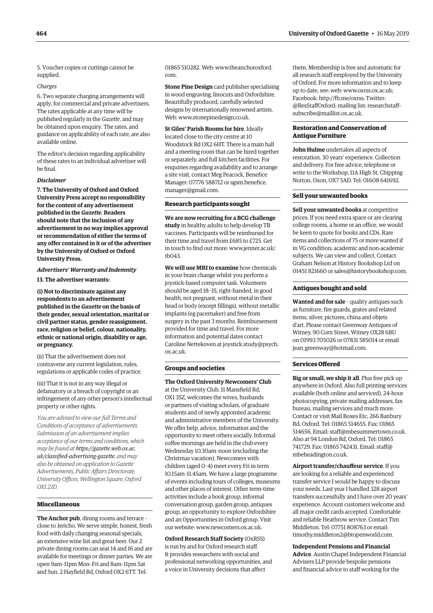<span id="page-21-0"></span>5. Voucher copies or cuttings cannot be supplied.

#### *Charges*

6. Two separate charging arrangements will apply, for commercial and private advertisers. The rates applicable at any time will be published regularly in the *Gazette*, and may be obtained upon enquiry. The rates, and guidance on applicability of each rate, are also available online.

The editor's decision regarding applicability of these rates to an individual advertiser will be final.

#### *Disclaimer*

**7. The University of Oxford and Oxford University Press accept no responsibility for the content of any advertisement published in the** *Gazette***. Readers should note that the inclusion of any advertisement in no way implies approval or recommendation of either the terms of any offer contained in it or of the advertiser by the University of Oxford or Oxford University Press.**

*Advertisers' Warranty and Indemnity* **13. The advertiser warrants:**

**(i) Not to discriminate against any respondents to an advertisement published in the** *Gazette* **on the basis of their gender, sexual orientation, marital or civil partner status, gender reassignment, race, religion or belief, colour, nationality, ethnic or national origin, disability or age, or pregnancy.**

(ii) That the advertisement does not contravene any current legislation, rules, regulations or applicable codes of practice.

(iii) That it is not in any way illegal or defamatory or a breach of copyright or an infringement of any other person's intellectual property or other rights.

*You are advised to view our full Terms and Conditions of acceptance of advertisements. Submission of an advertisement implies acceptance of our terms and conditions, which may be found at https:/[/gazette.web.ox.ac.](http://www.ox.ac.uk/gazette/classifiedadvertising) [uk/classified-advertising](http://www.ox.ac.uk/gazette/classifiedadvertising)-gazette, and may also be obtained on application to Gazette Advertisements, Public Affairs Directorate, University Offices, Wellington Square, Oxford OX1 2JD.*

# **Miscellaneous**

**The Anchor pub**, dining rooms and terrace – close to Jericho. We serve simple, honest, fresh food with daily changing seasonal specials, an extensive wine list and great beer. Our 2 private dining rooms can seat 14 and 16 and are available for meetings or dinner parties. We are open 9am–11pm Mon–Fri and 8am–11pm Sat and Sun. 2 Hayfield Rd, Oxford OX2 6TT. Tel:

01865 510282. Web: [www.theanchoroxford.](http://www.theanchoroxford.com) [com.](http://www.theanchoroxford.com)

**Stone Pine Design** card publisher specialising in wood engraving, linocuts and Oxfordshire. Beautifully produced, carefully selected designs by internationally renowned artists. Web: [www.stonepinedesign.co.uk.](http://www.stonepinedesign.co.uk)

**St Giles' Parish Rooms for hire**. Ideally located close to the city centre at 10 Woodstock Rd OX2 6HT. There is a main hall and a meeting room that can be hired together or separately, and full kitchen facilities. For enquiries regarding availability and to arrange a site visit, contact Meg Peacock, Benefice Manager: 07776 588712 or [sgsm.benefice.](mailto:sgsm.benefice.manager@gmail.com) [manager@gmail.com](mailto:sgsm.benefice.manager@gmail.com).

## **Research participants sought**

**We are now recruiting for a BCG challenge study** in healthy adults to help develop TB vaccines. Participants will be reimbursed for their time and travel from £685 to £725. Get in touch to find out more: [www.jenner.ac.uk/](http://www.jenner.ac.uk/tb043.)  $th043$ 

**We will use MRI to examine** how chemicals in your brain change whilst you perform a joystick-based computer task. Volunteers should be aged 18–35, right-handed, in good health, not pregnant, without metal in their head or body (except fillings), without metallic implants (eg pacemaker) and free from surgery in the past 3 months. Reimbursement provided for time and travel. For more information and potential dates contact Caroline Nettekoven at [joystick.study@psych.](mailto:joystick.study@psych.ox.ac.uk) [ox.ac.uk.](mailto:joystick.study@psych.ox.ac.uk)

#### **Groups and societies**

**The Oxford University Newcomers' Club** at the University Club, 11 Mansfield Rd, OX1 3SZ, welcomes the wives, husbands or partners of visiting scholars, of graduate students and of newly appointed academic and administrative members of the University. We offer help, advice, information and the opportunity to meet others socially. Informal coffee mornings are held in the club every Wednesday 10.30am–noon (excluding the Christmas vacation). Newcomers with children (aged 0–4) meet every Fri in term 10.15am–11.45am. We have a large programme of events including tours of colleges, museums and other places of interest. Other term-time activities include a book group, informal conversation group, garden group, antiques group, an opportunity to explore Oxfordshire and an Opportunities in Oxford group. Visit our website: [www.newcomers.ox.ac.uk](http://www.newcomers.ox.ac.uk).

**Oxford Research Staff Society** (OxRSS) is run by and for Oxford research staff. It provides researchers with social and professional networking opportunities, and a voice in University decisions that affect

them. Membership is free and automatic for all research staff employed by the University of Oxford. For more information and to keep up to date, see: web: [www.oxrss.ox.ac.uk](http://www.oxrss.ox.ac.uk); Facebook: <http://fb.me/oxrss;>Twitter: @ResStaffOxford; mailing list: [researchstaff](mailto:researchstaff-subscribe@maillist.ox.ac.uk)[subscribe@maillist.ox.ac.uk](mailto:researchstaff-subscribe@maillist.ox.ac.uk).

# **Restoration and Conservation of Antique Furniture**

**John Hulme** undertakes all aspects of restoration. 30 years' experience. Collection and delivery. For free advice, telephone or write to the Workshop, 11A High St, Chipping Norton, Oxon, OX7 5AD. Tel: 01608 641692.

# **Sell your unwanted books**

**Sell your unwanted books** at competitive prices. If you need extra space or are clearing college rooms, a home or an office, we would be keen to quote for books and CDs. Rare items and collections of 75 or more wanted if in VG condition; academic and non-academic subjects. We can view and collect. Contact Graham Nelson at History Bookshop Ltd on 01451 821660 or [sales@historybookshop.com](mailto:sales@historybookshop.com).

#### **Antiques bought and sold**

**Wanted and for sale** – quality antiques such as furniture, fire guards, grates and related items, silver, pictures, china and objets d'art. Please contact Greenway Antiques of Witney, 90 Corn Street, Witney OX28 6BU on 01993 705026 or 07831 585014 or email jean greenway@hotmail.com.

# **Services Offered**

**Big or small, we ship it all**. Plus free pick up anywhere in Oxford. Also full printing services available (both online and serviced), 24-hour photocopying, private mailing addresses, fax bureau, mailing services and much more. Contact or visit Mail Boxes Etc, 266 Banbury Rd, Oxford. Tel: 01865 514655. Fax: 01865 514656. Email: [staff@mbesummertown.co.uk](mailto:staff@mbesummertown.co.uk). Also at 94 London Rd, Oxford. Tel: 01865 741729. Fax: 01865 742431. Email: [staff@](mailto:staff@mbeheadington.co.uk) [mbeheadington.co.uk.](mailto:staff@mbeheadington.co.uk)

**Airport transfer/chauffeur service**. If you are looking for a reliable and experienced transfer service I would be happy to discuss your needs. Last year I handled 328 airport transfers successfully and I have over 20 years' experience. Account customers welcome and all major credit cards accepted. Comfortable and reliable Heathrow service. Contact Tim Middleton. Tel: 07751 808763 or email: [timothy.middleton2@btopenworld.com](mailto:timothy.middleton2@btopenworld.com).

**Independent Pensions and Financial Advice**. Austin Chapel Independent Financial Advisers LLP provide bespoke pensions and financial advice to staff working for the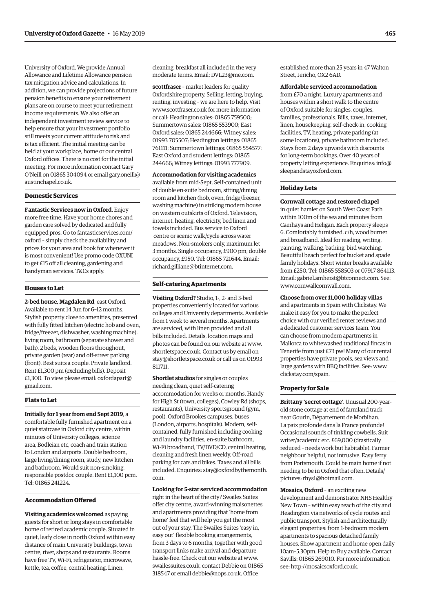University of Oxford. We provide Annual Allowance and Lifetime Allowance pension tax mitigation advice and calculations. In addition, we can provide projections of future pension benefits to ensure your retirement plans are on course to meet your retirement income requirements. We also offer an independent investment review service to help ensure that your investment portfolio still meets your current attitude to risk and is tax efficient. The initial meeting can be held at your workplace, home or our central Oxford offices. There is no cost for the initial meeting. For more information contact Gary O'Neill on 01865 304094 or email [gary.oneill@](mailto:gary.oneill@austinchapel.co.uk) [austinchapel.co.uk.](mailto:gary.oneill@austinchapel.co.uk)

# **Domestic Services**

**Fantastic Services now in Oxford**. Enjoy more free time. Have your home chores and garden care solved by dedicated and fully equipped pros. Go to [fantasticservices.com/](http://fantasticservices.com/oxford) [oxford](http://fantasticservices.com/oxford) – simply check the availability and prices for your area and book for whenever it is most convenient! Use promo code OXUNI to get £15 off all cleaning, gardening and handyman services. T&Cs apply.

#### **Houses to Let**

**2-bed house, Magdalen Rd**, east Oxford. Available to rent 14 Jun for 6–12 months. Stylish property close to amenities, presented with fully fitted kitchen (electric hob and oven, fridge/freezer, dishwasher, washing machine), living room, bathroom (separate shower and bath), 2 beds, wooden floors throughout, private garden (rear) and off-street parking (front). Best suits a couple. Private landlord. Rent £1,300 pm (excluding bills). Deposit £1,300. To view please email: [oxfordapart@](mailto:oxfordapart@gmail.com) [gmail.com.](mailto:oxfordapart@gmail.com)

#### **Flats to Let**

**Initially for 1 year from end Sept 2019**, a comfortable fully furnished apartment on a quiet staircase in Oxford city centre, within minutes of University colleges, science area, Bodleian etc, coach and train station to London and airports. Double bedroom, large living/dining room, study, new kitchen and bathroom. Would suit non-smoking, responsible postdoc couple. Rent £1,100 pcm. Tel: 01865 241224.

# **Accommodation Offered**

**Visiting academics welcomed** as paying guests for short or long stays in comfortable home of retired academic couple. Situated in quiet, leafy close in north Oxford within easy distance of main University buildings, town centre, river, shops and restaurants. Rooms have free TV, Wi-Fi, refrigerator, microwave, kettle, tea, coffee, central heating. Linen,

cleaning, breakfast all included in the very moderate terms. Email: [DVL23@me.com.](mailto:DVL23@me.com)

**scottfraser** – market leaders for quality Oxfordshire property. Selling, letting, buying, renting, investing – we are here to help. Visit [www.scottfraser.co.uk](http://www.scottfraser.co.uk) for more information or call: Headington sales: 01865 759500; Summertown sales: 01865 553900; East Oxford sales: 01865 244666; Witney sales: 01993 705507; Headington lettings: 01865 761111; Summertown lettings: 01865 554577; East Oxford and student lettings: 01865 244666; Witney lettings: 01993 777909.

**Accommodation for visiting academics**  available from mid-Sept. Self-contained unit of double en-suite bedroom, sitting/dining room and kitchen (hob, oven, fridge/freezer, washing machine) in striking modern house on western outskirts of Oxford. Television, internet, heating, electricity, bed linen and towels included. Bus service to Oxford centre or scenic walk/cycle across water meadows. Non-smokers only, maximum let 3 months. Single occupancy, £900 pm; double occupancy, £950. Tel: 01865 721644. Email: [richard.gilliane@btinternet.com.](mailto:richard.gilliane@btinternet.com)

# **Self-catering Apartments**

**Visiting Oxford?** Studio, 1-, 2- and 3-bed properties conveniently located for various colleges and University departments. Available from 1 week to several months. Apartments are serviced, with linen provided and all bills included. Details, location maps and photos can be found on our website at [www.](http://www.shortletspace.co.uk) [shortletspace.co.uk](http://www.shortletspace.co.uk). Contact us by email on [stay@shortletspace.co.uk](mailto:stay@shortletspace.co.uk) or call us on 01993 811711.

**Shortlet studios** for singles or couples needing clean, quiet self-catering accommodation for weeks or months. Handy for High St (town, colleges), Cowley Rd (shops, restaurants), University sportsground (gym, pool), Oxford Brookes campuses, buses (London, airports, hospitals). Modern, selfcontained, fully furnished including cooking and laundry facilities, en-suite bathroom, Wi-Fi broadband, TV/DVD/CD, central heating, cleaning and fresh linen weekly. Off-road parking for cars and bikes. Taxes and all bills included. Enquiries: [stay@oxfordbythemonth.](mailto:stay@oxfordbythemonth.com) [com.](mailto:stay@oxfordbythemonth.com)

**Looking for 5-star serviced accommodation**

right in the heart of the city? Swailes Suites offer city centre, award-winning maisonettes and apartments providing that 'home from home' feel that will help you get the most out of your stay. The Swailes Suites 'easy in, easy out' flexible booking arrangements, from 3 days to 6 months, together with good transport links make arrival and departure hassle-free. Check out our website at [www.](http://www.swailessuites.co.uk) [swailessuites.co.uk](http://www.swailessuites.co.uk), contact Debbie on 01865 318547 or email [debbie@nops.co.uk](mailto:debbie@nops.co.uk). Office

established more than 25 years in 47 Walton Street, Jericho, OX2 6AD.

**Affordable serviced accommodation** from £70 a night. Luxury apartments and houses within a short walk to the centre of Oxford suitable for singles, couples, families, professionals. Bills, taxes, internet, linen, housekeeping, self-check-in, cooking facilities, TV, heating, private parking (at some locations), private bathroom included. Stays from 2 days upwards with discounts for long-term bookings. Over 40 years of property letting experience. Enquiries: [info@](mailto:info@sleepandstayoxford.com) [sleepandstayoxford.com](mailto:info@sleepandstayoxford.com).

# **Holiday Lets**

**Cornwall cottage and restored chapel** in quiet hamlet on South West Coast Path within 100m of the sea and minutes from Caerhays and Heligan. Each property sleeps 6. Comfortably furnished, c/h, wood burner and broadband. Ideal for reading, writing, painting, walking, bathing, bird watching. Beautiful beach perfect for bucket and spade family holidays. Short winter breaks available from £250. Tel: 01865 558503 or 07917 864113. Email: [gabriel.amherst@btconnect.com](mailto:gabriel.amherst@btconnect.com). See: [www.cornwallcornwall.com.](http://www.cornwallcornwall.com)

**Choose from over 11,000 holiday villas**

and apartments in Spain with Clickstay. We make it easy for you to make the perfect choice with our verified renter reviews and a dedicated customer services team. You can choose from modern apartments in Mallorca to whitewashed traditional fincas in Tenerife from just £73 pw! Many of our rental properties have private pools, sea views and large gardens with BBQ facilities. See: [www.](http://www.clickstay.com/spain) [clickstay.com/spain.](http://www.clickstay.com/spain)

# **Property for Sale**

**Brittany 'secret cottage'**. Unusual 200-yearold stone cottage at end of farmland track near Gourin, Département de Morbihan. La paix profonde dans la France profonde! Occasional sounds of tinkling cowbells. Suit writer/academic etc. £69,000 (drastically reduced – needs work but habitable). Farmer neighbour helpful, not intrusive. Easy ferry from Portsmouth. Could be main home if not needing to be in Oxford that often. Details/ pictures: [rhys1@hotmail.com.](mailto:rhys1@hotmail.com)

**Mosaics, Oxford** – an exciting new development and demonstrator NHS Healthy New Town – within easy reach of the city and Headington via networks of cycle routes and public transport. Stylish and architecturally elegant properties: from 1-bedroom modern apartments to spacious detached family houses. Show apartment and home open daily 10am–5.30pm. Help to Buy available. Contact Savills: 01865 269010. For more information see:<http://mosaicsoxford.co.uk>.